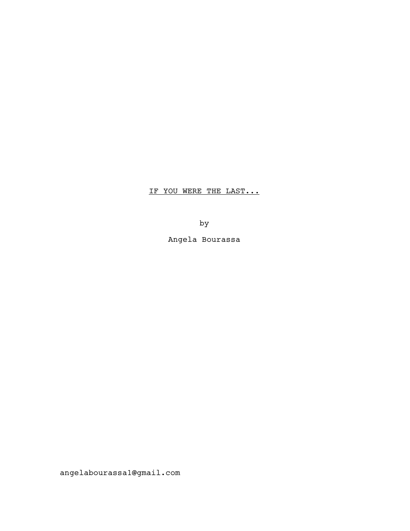IF YOU WERE THE LAST...

by

Angela Bourassa

angelabourassa1@gmail.com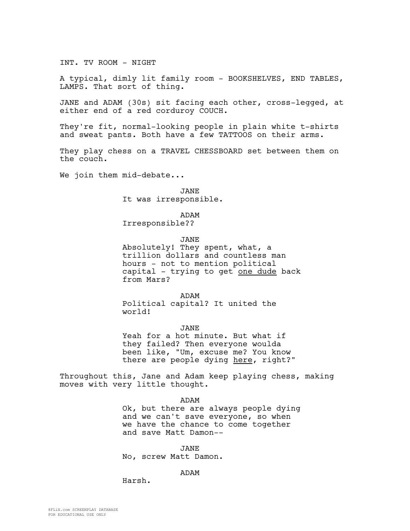INT. TV ROOM - NIGHT

A typical, dimly lit family room - BOOKSHELVES, END TABLES, LAMPS. That sort of thing.

JANE and ADAM (30s) sit facing each other, cross-legged, at either end of a red corduroy COUCH.

They're fit, normal-looking people in plain white t-shirts and sweat pants. Both have a few TATTOOS on their arms.

They play chess on a TRAVEL CHESSBOARD set between them on the couch.

We join them mid-debate...

JANE It was irresponsible.

ADAM

Irresponsible??

JANE

Absolutely! They spent, what, a trillion dollars and countless man hours - not to mention political capital - trying to get one dude back from Mars?

ADAM

Political capital? It united the world!

JANE Yeah for a hot minute. But what if they failed? Then everyone woulda been like, "Um, excuse me? You know there are people dying here, right?"

Throughout this, Jane and Adam keep playing chess, making moves with very little thought.

ADAM

Ok, but there are always people dying and we can't save everyone, so when we have the chance to come together and save Matt Damon--

JANE No, screw Matt Damon.

ADAM

Harsh.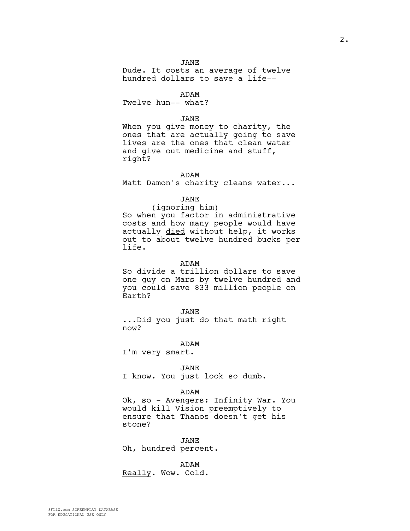### JANE

Dude. It costs an average of twelve hundred dollars to save a life--

# ADAM

Twelve hun-- what?

### JANE

When you give money to charity, the ones that are actually going to save lives are the ones that clean water and give out medicine and stuff, right?

#### ADAM

Matt Damon's charity cleans water...

## JANE

# (ignoring him) So when you factor in administrative costs and how many people would have actually died without help, it works out to about twelve hundred bucks per

#### ADAM

So divide a trillion dollars to save one guy on Mars by twelve hundred and you could save 833 million people on Earth?

JANE ...Did you just do that math right now?

ADAM I'm very smart.

life.

JANE I know. You just look so dumb.

#### ADAM

Ok, so - Avengers: Infinity War. You would kill Vision preemptively to ensure that Thanos doesn't get his stone?

# JANE

Oh, hundred percent.

ADAM Really. Wow. Cold.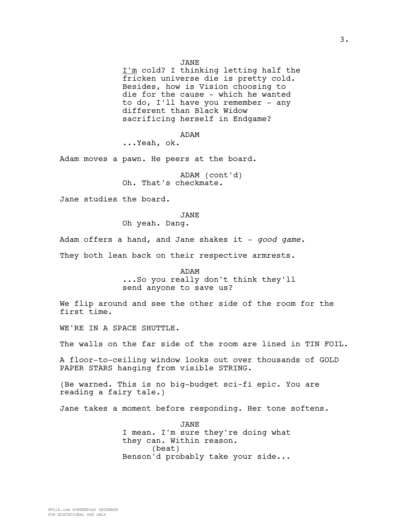I'm cold? I thinking letting half the fricken universe die is pretty cold. Besides, how is Vision choosing to die for the cause - which he wanted to do, I'll have you remember - any different than Black Widow sacrificing herself in Endgame?

ADAM

...Yeah, ok.

Adam moves a pawn. He peers at the board.

ADAM (cont'd) Oh. That's checkmate.

Jane studies the board.

#### JANE

Oh yeah. Dang.

Adam offers a hand, and Jane shakes it - *good game*.

They both lean back on their respective armrests.

ADAM

...So you really don't think they'll send anyone to save us?

We flip around and see the other side of the room for the first time.

WE'RE IN A SPACE SHUTTLE.

The walls on the far side of the room are lined in TIN FOIL.

A floor-to-ceiling window looks out over thousands of GOLD PAPER STARS hanging from visible STRING.

(Be warned. This is no big-budget sci-fi epic. You are reading a fairy tale.)

Jane takes a moment before responding. Her tone softens.

JANE I mean. I'm sure they're doing what they can. Within reason. (beat) Benson'd probably take your side...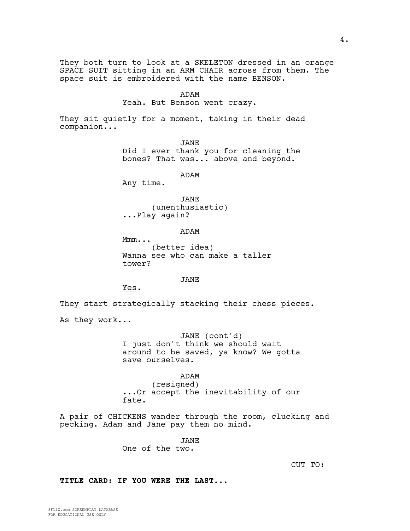They both turn to look at a SKELETON dressed in an orange SPACE SUIT sitting in an ARM CHAIR across from them. The space suit is embroidered with the name BENSON.

#### ADAM

## Yeah. But Benson went crazy.

They sit quietly for a moment, taking in their dead companion...

> JANE Did I ever thank you for cleaning the bones? That was... above and beyond.

> > ADAM

Any time.

JANE (unenthusiastic) ...Play again?

ADAM

Mmm... (better idea) Wanna see who can make a taller tower?

JANE

Yes.

They start strategically stacking their chess pieces.

As they work...

JANE (cont'd) I just don't think we should wait around to be saved, ya know? We gotta save ourselves.

ADAM (resigned) ...Or accept the inevitability of our fate.

A pair of CHICKENS wander through the room, clucking and pecking. Adam and Jane pay them no mind.

> JANE One of the two.

> > CUT TO:

**TITLE CARD: IF YOU WERE THE LAST...**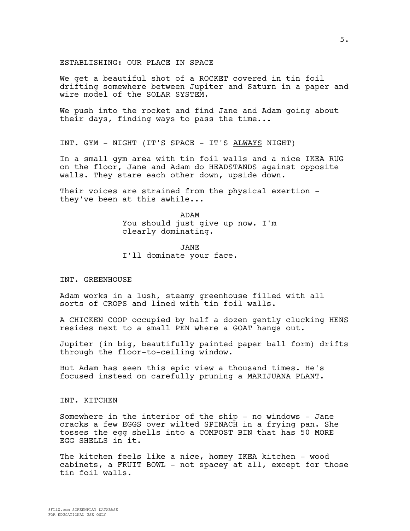## ESTABLISHING: OUR PLACE IN SPACE

We get a beautiful shot of a ROCKET covered in tin foil drifting somewhere between Jupiter and Saturn in a paper and wire model of the SOLAR SYSTEM.

We push into the rocket and find Jane and Adam going about their days, finding ways to pass the time...

INT. GYM - NIGHT (IT'S SPACE - IT'S ALWAYS NIGHT)

In a small gym area with tin foil walls and a nice IKEA RUG on the floor, Jane and Adam do HEADSTANDS against opposite walls. They stare each other down, upside down.

Their voices are strained from the physical exertion they've been at this awhile...

> ADAM You should just give up now. I'm clearly dominating.

JANE I'll dominate your face.

INT. GREENHOUSE

Adam works in a lush, steamy greenhouse filled with all sorts of CROPS and lined with tin foil walls.

A CHICKEN COOP occupied by half a dozen gently clucking HENS resides next to a small PEN where a GOAT hangs out.

Jupiter (in big, beautifully painted paper ball form) drifts through the floor-to-ceiling window.

But Adam has seen this epic view a thousand times. He's focused instead on carefully pruning a MARIJUANA PLANT.

# INT. KITCHEN

Somewhere in the interior of the ship - no windows - Jane cracks a few EGGS over wilted SPINACH in a frying pan. She tosses the egg shells into a COMPOST BIN that has 50 MORE EGG SHELLS in it.

The kitchen feels like a nice, homey IKEA kitchen - wood cabinets, a FRUIT BOWL - not spacey at all, except for those tin foil walls.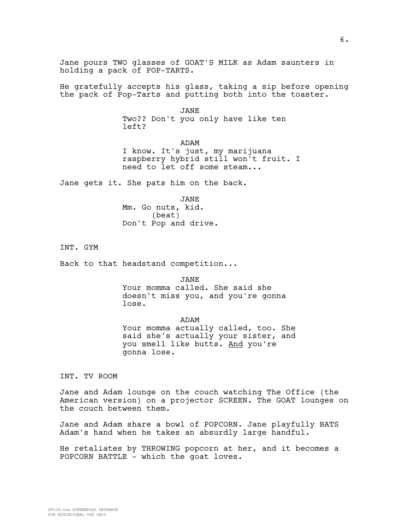Jane pours TWO glasses of GOAT'S MILK as Adam saunters in holding a pack of POP-TARTS.

He gratefully accepts his glass, taking a sip before opening the pack of Pop-Tarts and putting both into the toaster.

> JANE Two?? Don't you only have like ten left?

> > ADAM

I know. It's just, my marijuana raspberry hybrid still won't fruit. I need to let off some steam...

Jane gets it. She pats him on the back.

JANE Mm. Go nuts, kid. (beat) Don't Pop and drive.

INT. GYM

Back to that headstand competition...

JANE Your momma called. She said she doesn't miss you, and you're gonna lose.

ADAM

Your momma actually called, too. She said she's actually your sister, and you smell like butts. And you're gonna lose.

INT. TV ROOM

Jane and Adam lounge on the couch watching The Office (the American version) on a projector SCREEN. The GOAT lounges on the couch between them.

Jane and Adam share a bowl of POPCORN. Jane playfully BATS Adam's hand when he takes an absurdly large handful.

He retaliates by THROWING popcorn at her, and it becomes a POPCORN BATTLE - which the goat loves.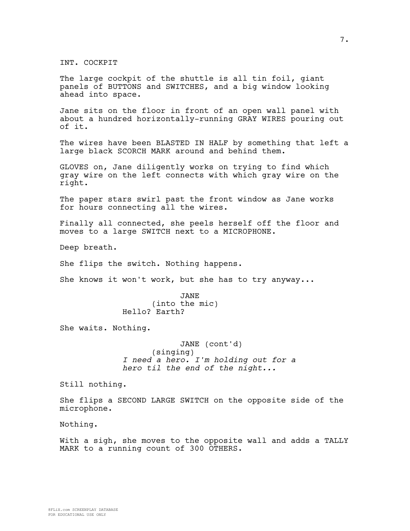INT. COCKPIT

The large cockpit of the shuttle is all tin foil, giant panels of BUTTONS and SWITCHES, and a big window looking ahead into space.

Jane sits on the floor in front of an open wall panel with about a hundred horizontally-running GRAY WIRES pouring out of it.

The wires have been BLASTED IN HALF by something that left a large black SCORCH MARK around and behind them.

GLOVES on, Jane diligently works on trying to find which gray wire on the left connects with which gray wire on the right.

The paper stars swirl past the front window as Jane works for hours connecting all the wires.

Finally all connected, she peels herself off the floor and moves to a large SWITCH next to a MICROPHONE.

Deep breath.

She flips the switch. Nothing happens.

She knows it won't work, but she has to try anyway...

JANE (into the mic) Hello? Earth?

She waits. Nothing.

JANE (cont'd) (singing) *I need a hero. I'm holding out for a hero til the end of the night...*

Still nothing.

She flips a SECOND LARGE SWITCH on the opposite side of the microphone.

Nothing.

With a sigh, she moves to the opposite wall and adds a TALLY MARK to a running count of 300 OTHERS.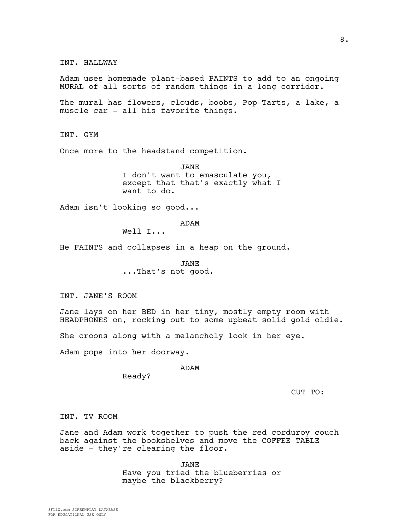# INT. HALLWAY

Adam uses homemade plant-based PAINTS to add to an ongoing MURAL of all sorts of random things in a long corridor.

The mural has flowers, clouds, boobs, Pop-Tarts, a lake, a muscle car - all his favorite things.

INT. GYM

Once more to the headstand competition.

JANE I don't want to emasculate you, except that that's exactly what I want to do.

Adam isn't looking so good...

# ADAM

Well I...

He FAINTS and collapses in a heap on the ground.

JANE ...That's not good.

INT. JANE'S ROOM

Jane lays on her BED in her tiny, mostly empty room with HEADPHONES on, rocking out to some upbeat solid gold oldie.

She croons along with a melancholy look in her eye.

Adam pops into her doorway.

ADAM

Ready?

CUT TO:

INT. TV ROOM

Jane and Adam work together to push the red corduroy couch back against the bookshelves and move the COFFEE TABLE aside - they're clearing the floor.

> JANE Have you tried the blueberries or maybe the blackberry?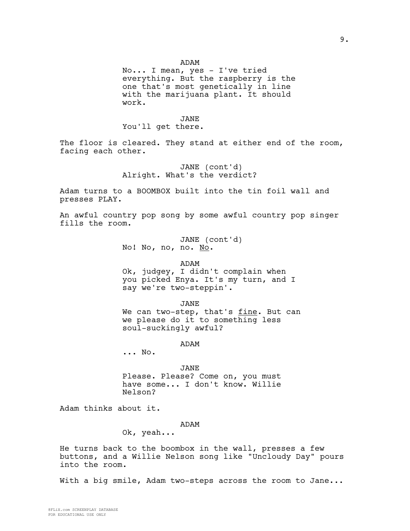## ADAM

No... I mean, yes - I've tried everything. But the raspberry is the one that's most genetically in line with the marijuana plant. It should work.

## JANE

You'll get there.

The floor is cleared. They stand at either end of the room, facing each other.

> JANE (cont'd) Alright. What's the verdict?

Adam turns to a BOOMBOX built into the tin foil wall and presses PLAY.

An awful country pop song by some awful country pop singer fills the room.

> JANE (cont'd) No! No, no, no. No.

ADAM Ok, judgey, I didn't complain when

you picked Enya. It's my turn, and I say we're two-steppin'.

JANE

We can two-step, that's fine. But can we please do it to something less soul-suckingly awful?

ADAM

... No.

JANE Please. Please? Come on, you must have some... I don't know. Willie Nelson?

Adam thinks about it.

# ADAM

Ok, yeah...

He turns back to the boombox in the wall, presses a few buttons, and a Willie Nelson song like "Uncloudy Day" pours into the room.

With a big smile, Adam two-steps across the room to Jane...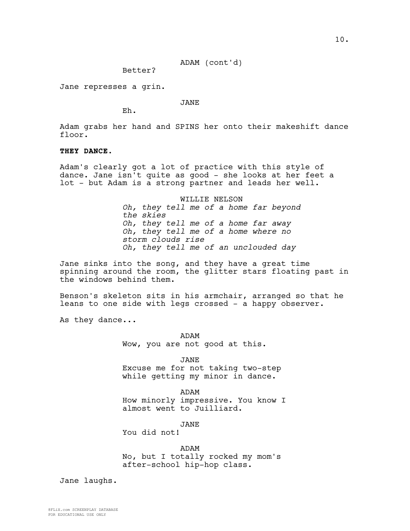ADAM (cont'd)

Better?

Jane represses a grin.

JANE

Eh.

Adam grabs her hand and SPINS her onto their makeshift dance floor.

# **THEY DANCE.**

Adam's clearly got a lot of practice with this style of dance. Jane isn't quite as good - she looks at her feet a lot - but Adam is a strong partner and leads her well.

> WILLIE NELSON *Oh, they tell me of a home far beyond the skies Oh, they tell me of a home far away Oh, they tell me of a home where no storm clouds rise Oh, they tell me of an unclouded day*

Jane sinks into the song, and they have a great time spinning around the room, the glitter stars floating past in the windows behind them.

Benson's skeleton sits in his armchair, arranged so that he leans to one side with legs crossed - a happy observer.

As they dance...

ADAM Wow, you are not good at this.

JANE

Excuse me for not taking two-step while getting my minor in dance.

ADAM How minorly impressive. You know I almost went to Juilliard.

JANE

You did not!

ADAM

No, but I totally rocked my mom's after-school hip-hop class.

Jane laughs.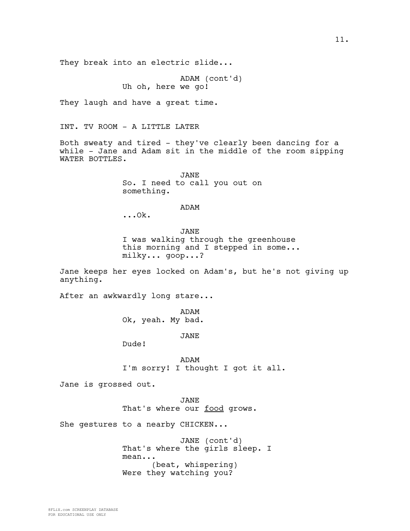They break into an electric slide...

ADAM (cont'd) Uh oh, here we go!

They laugh and have a great time.

INT. TV ROOM - A LITTLE LATER

Both sweaty and tired - they've clearly been dancing for a while - Jane and Adam sit in the middle of the room sipping WATER BOTTLES.

> JANE So. I need to call you out on something.

> > ADAM

...Ok.

JANE

I was walking through the greenhouse this morning and I stepped in some... milky... goop...?

Jane keeps her eyes locked on Adam's, but he's not giving up anything.

After an awkwardly long stare...

ADAM Ok, yeah. My bad.

JANE

Dude!

ADAM I'm sorry! I thought I got it all.

Jane is grossed out.

JANE That's where our food grows.

She gestures to a nearby CHICKEN...

JANE (cont'd) That's where the girls sleep. I mean... (beat, whispering) Were they watching you?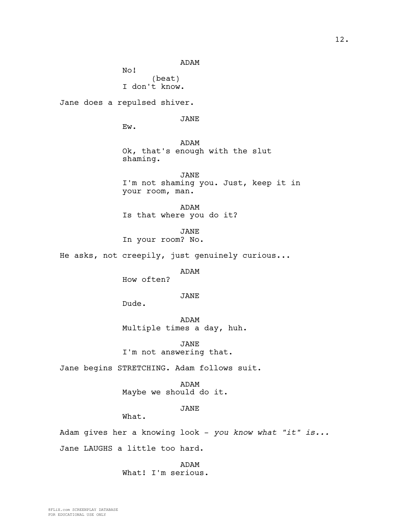ADAM

No! (beat) I don't know.

Jane does a repulsed shiver.

JANE

Ew.

ADAM Ok, that's enough with the slut shaming.

JANE I'm not shaming you. Just, keep it in your room, man.

ADAM Is that where you do it?

JANE In your room? No.

He asks, not creepily, just genuinely curious...

ADAM

How often?

JANE

Dude.

ADAM Multiple times a day, huh.

JANE I'm not answering that.

Jane begins STRETCHING. Adam follows suit.

ADAM Maybe we should do it.

JANE

What.

Adam gives her a knowing look - *you know what "it" is...*

Jane LAUGHS a little too hard.

ADAM What! I'm serious.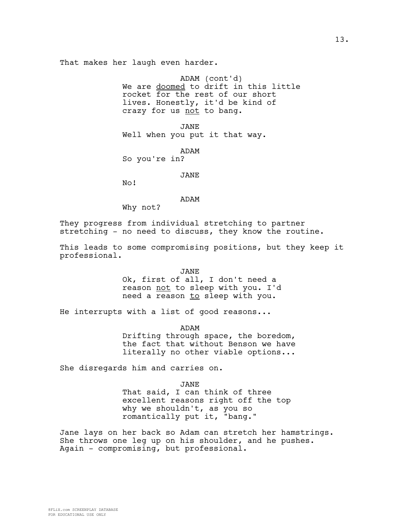That makes her laugh even harder.

ADAM (cont'd) We are doomed to drift in this little rocket for the rest of our short lives. Honestly, it'd be kind of crazy for us not to bang.

JANE

Well when you put it that way.

ADAM

So you're in?

JANE

No!

ADAM

Why not?

They progress from individual stretching to partner stretching - no need to discuss, they know the routine.

This leads to some compromising positions, but they keep it professional.

JANE

Ok, first of all, I don't need a reason not to sleep with you. I'd need a reason to sleep with you.

He interrupts with a list of good reasons...

ADAM Drifting through space, the boredom, the fact that without Benson we have literally no other viable options...

She disregards him and carries on.

JANE

That said, I can think of three excellent reasons right off the top why we shouldn't, as you so romantically put it, "bang."

Jane lays on her back so Adam can stretch her hamstrings. She throws one leg up on his shoulder, and he pushes. Again - compromising, but professional.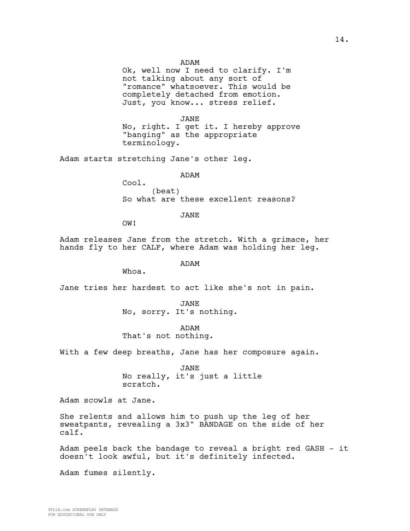### ADAM

Ok, well now I need to clarify. I'm not talking about any sort of "romance" whatsoever. This would be completely detached from emotion. Just, you know... stress relief.

#### JANE

No, right. I get it. I hereby approve "banging" as the appropriate terminology.

Adam starts stretching Jane's other leg.

ADAM

Cool. (beat) So what are these excellent reasons?

## JANE

OW!

Adam releases Jane from the stretch. With a grimace, her hands fly to her CALF, where Adam was holding her leg.

ADAM

Whoa.

Jane tries her hardest to act like she's not in pain.

JANE No, sorry. It's nothing.

ADAM

That's not nothing.

With a few deep breaths, Jane has her composure again.

JANE No really, it's just a little scratch.

Adam scowls at Jane.

She relents and allows him to push up the leg of her sweatpants, revealing a 3x3" BANDAGE on the side of her calf.

Adam peels back the bandage to reveal a bright red GASH - it doesn't look awful, but it's definitely infected.

Adam fumes silently.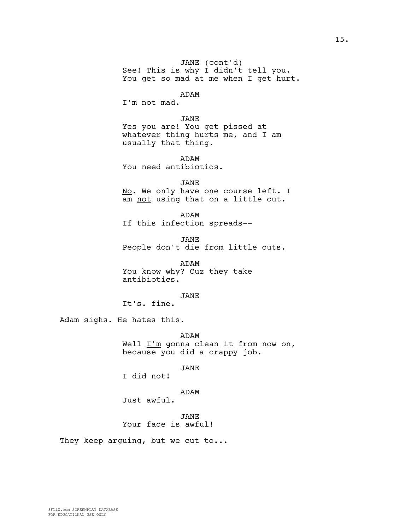JANE (cont'd) See! This is why I didn't tell you. You get so mad at me when I get hurt.

# ADAM

I'm not mad.

### JANE

Yes you are! You get pissed at whatever thing hurts me, and I am usually that thing.

ADAM You need antibiotics.

### JANE

No. We only have one course left. I am not using that on a little cut.

ADAM

If this infection spreads--

JANE

People don't die from little cuts.

ADAM You know why? Cuz they take antibiotics.

## JANE

It's. fine.

Adam sighs. He hates this.

ADAM Well  $I'm$  gonna clean it from now on, because you did a crappy job.

### JANE

I did not!

## ADAM

Just awful.

# JANE Your face is awful!

They keep arguing, but we cut to...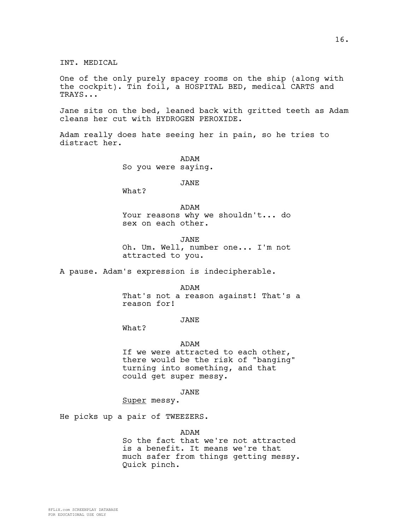One of the only purely spacey rooms on the ship (along with the cockpit). Tin foil, a HOSPITAL BED, medical CARTS and TRAYS...

Jane sits on the bed, leaned back with gritted teeth as Adam cleans her cut with HYDROGEN PEROXIDE.

Adam really does hate seeing her in pain, so he tries to distract her.

> ADAM So you were saying.

### JANE

What?

ADAM Your reasons why we shouldn't... do sex on each other.

JANE

Oh. Um. Well, number one... I'm not attracted to you.

A pause. Adam's expression is indecipherable.

ADAM

That's not a reason against! That's a reason for!

# JANE

What?

#### ADAM

If we were attracted to each other, there would be the risk of "banging" turning into something, and that could get super messy.

JANE

Super messy.

He picks up a pair of TWEEZERS.

### ADAM

So the fact that we're not attracted is a benefit. It means we're that much safer from things getting messy. Quick pinch.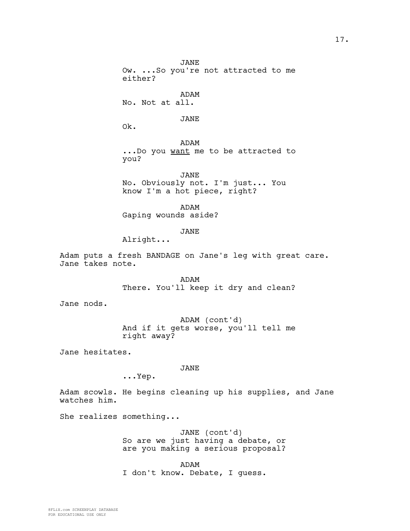17.

JANE Ow. ...So you're not attracted to me either?

ADAM No. Not at all.

JANE

Ok.

ADAM

...Do you want me to be attracted to you?

JANE No. Obviously not. I'm just... You know I'm a hot piece, right?

ADAM Gaping wounds aside?

JANE

Alright...

Adam puts a fresh BANDAGE on Jane's leg with great care. Jane takes note.

> ADAM There. You'll keep it dry and clean?

Jane nods.

ADAM (cont'd) And if it gets worse, you'll tell me right away?

Jane hesitates.

JANE

...Yep.

Adam scowls. He begins cleaning up his supplies, and Jane watches him.

She realizes something...

JANE (cont'd) So are we just having a debate, or are you making a serious proposal?

ADAM I don't know. Debate, I guess.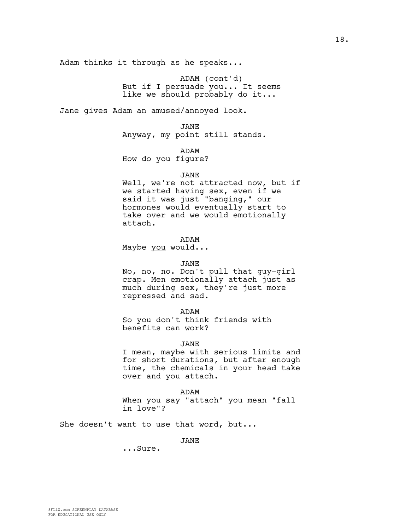Adam thinks it through as he speaks...

ADAM (cont'd) But if I persuade you... It seems like we should probably do it...

Jane gives Adam an amused/annoyed look.

JANE Anyway, my point still stands.

## ADAM

How do you figure?

#### JANE

Well, we're not attracted now, but if we started having sex, even if we said it was just "banging," our hormones would eventually start to take over and we would emotionally attach.

## ADAM

Maybe you would...

#### JANE

No, no, no. Don't pull that guy-girl crap. Men emotionally attach just as much during sex, they're just more repressed and sad.

#### ADAM

So you don't think friends with benefits can work?

#### JANE

I mean, maybe with serious limits and for short durations, but after enough time, the chemicals in your head take over and you attach.

#### ADAM

When you say "attach" you mean "fall in love"?

She doesn't want to use that word, but...

### JANE

...Sure.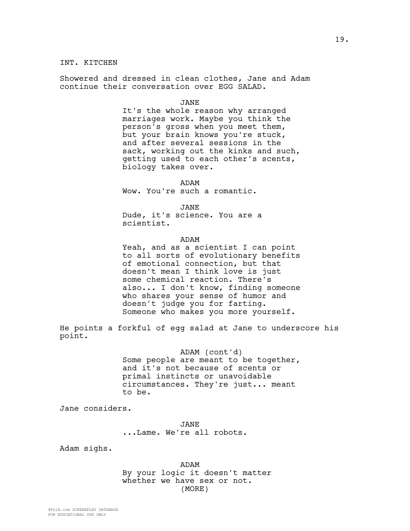Showered and dressed in clean clothes, Jane and Adam continue their conversation over EGG SALAD.

#### JANE

It's the whole reason why arranged marriages work. Maybe you think the person's gross when you meet them, but your brain knows you're stuck, and after several sessions in the sack, working out the kinks and such, getting used to each other's scents, biology takes over.

ADAM Wow. You're such a romantic.

JANE

Dude, it's science. You are a scientist.

### ADAM

Yeah, and as a scientist I can point to all sorts of evolutionary benefits of emotional connection, but that doesn't mean I think love is just some chemical reaction. There's also... I don't know, finding someone who shares your sense of humor and doesn't judge you for farting. Someone who makes you more yourself.

He points a forkful of egg salad at Jane to underscore his point.

> ADAM (cont'd) Some people are meant to be together, and it's not because of scents or primal instincts or unavoidable circumstances. They're just... meant to be.

Jane considers.

JANE ...Lame. We're all robots.

Adam sighs.

ADAM By your logic it doesn't matter whether we have sex or not. (MORE)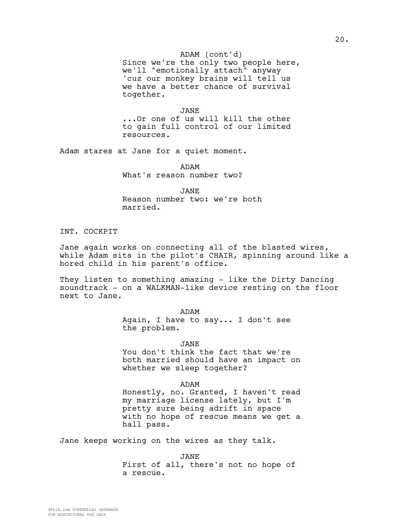## ADAM (cont'd)

Since we're the only two people here, we'll "emotionally attach" anyway 'cuz our monkey brains will tell us we have a better chance of survival together.

#### JANE

...Or one of us will kill the other to gain full control of our limited resources.

Adam stares at Jane for a quiet moment.

ADAM What's reason number two?

JANE Reason number two: we're both married.

### INT. COCKPIT

Jane again works on connecting all of the blasted wires, while Adam sits in the pilot's CHAIR, spinning around like a bored child in his parent's office.

They listen to something amazing - like the Dirty Dancing soundtrack - on a WALKMAN-like device resting on the floor next to Jane.

> ADAM Again, I have to say... I don't see the problem.

> > JANE

You don't think the fact that we're both married should have an impact on whether we sleep together?

ADAM

Honestly, no. Granted, I haven't read my marriage license lately, but I'm pretty sure being adrift in space with no hope of rescue means we get a hall pass.

Jane keeps working on the wires as they talk.

JANE First of all, there's not no hope of a rescue.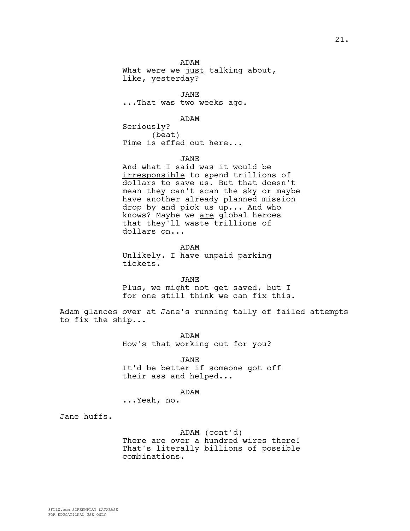ADAM What were we just talking about, like, yesterday?

JANE ...That was two weeks ago.

ADAM

Seriously? (beat) Time is effed out here...

JANE

And what I said was it would be irresponsible to spend trillions of dollars to save us. But that doesn't mean they can't scan the sky or maybe have another already planned mission drop by and pick us up... And who knows? Maybe we are global heroes that they'll waste trillions of dollars on...

ADAM Unlikely. I have unpaid parking tickets.

JANE Plus, we might not get saved, but I for one still think we can fix this.

Adam glances over at Jane's running tally of failed attempts to fix the ship...

> ADAM How's that working out for you?

> > JANE

It'd be better if someone got off their ass and helped...

ADAM

...Yeah, no.

Jane huffs.

ADAM (cont'd) There are over a hundred wires there! That's literally billions of possible combinations.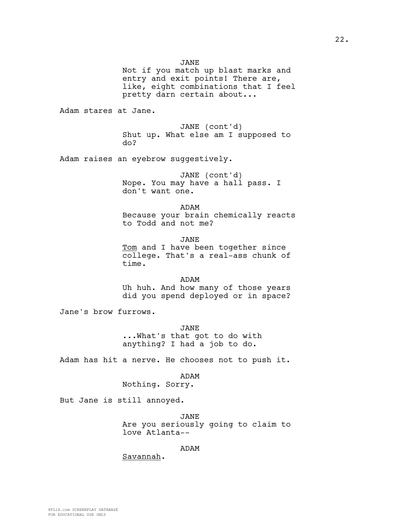JANE

Not if you match up blast marks and entry and exit points! There are, like, eight combinations that I feel pretty darn certain about...

Adam stares at Jane.

JANE (cont'd) Shut up. What else am I supposed to do?

Adam raises an eyebrow suggestively.

JANE (cont'd) Nope. You may have a hall pass. I don't want one.

ADAM Because your brain chemically reacts to Todd and not me?

JANE Tom and I have been together since college. That's a real-ass chunk of time.

### ADAM

Uh huh. And how many of those years did you spend deployed or in space?

Jane's brow furrows.

JANE ...What's that got to do with anything? I had a job to do.

Adam has hit a nerve. He chooses not to push it.

ADAM

Nothing. Sorry.

But Jane is still annoyed.

JANE Are you seriously going to claim to love Atlanta--

ADAM

Savannah.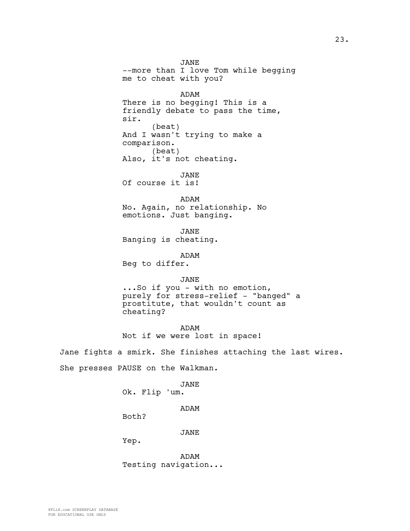JANE --more than I love Tom while begging me to cheat with you? ADAM There is no begging! This is a friendly debate to pass the time, sir. (beat) And I wasn't trying to make a comparison. (beat) Also, it's not cheating. JANE Of course it is! ADAM No. Again, no relationship. No emotions. Just banging. JANE Banging is cheating. ADAM Beg to differ.

JANE ...So if you - with no emotion, purely for stress-relief - "banged" a prostitute, that wouldn't count as cheating?

ADAM Not if we were lost in space!

Jane fights a smirk. She finishes attaching the last wires.

She presses PAUSE on the Walkman.

JANE Ok. Flip 'um.

ADAM

Both?

JANE

Yep.

ADAM Testing navigation...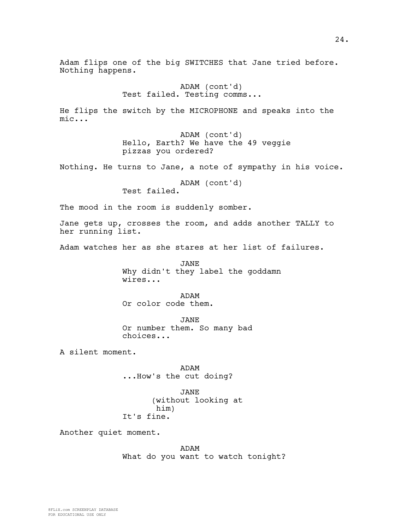Adam flips one of the big SWITCHES that Jane tried before. Nothing happens.

> ADAM (cont'd) Test failed. Testing comms...

He flips the switch by the MICROPHONE and speaks into the mic...

> ADAM (cont'd) Hello, Earth? We have the 49 veggie pizzas you ordered?

Nothing. He turns to Jane, a note of sympathy in his voice.

ADAM (cont'd) Test failed.

The mood in the room is suddenly somber.

Jane gets up, crosses the room, and adds another TALLY to her running list.

Adam watches her as she stares at her list of failures.

JANE Why didn't they label the goddamn wires...

ADAM Or color code them.

JANE Or number them. So many bad choices...

A silent moment.

ADAM ...How's the cut doing?

JANE (without looking at him) It's fine.

Another quiet moment.

ADAM What do you want to watch tonight?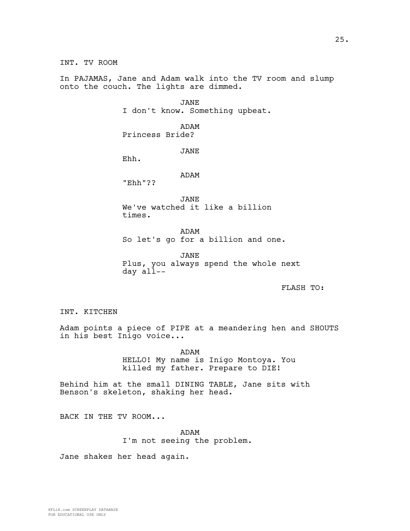In PAJAMAS, Jane and Adam walk into the TV room and slump onto the couch. The lights are dimmed.

> JANE I don't know. Something upbeat.

ADAM Princess Bride?

JANE

Ehh.

"Ehh"??

ADAM

JANE We've watched it like a billion times.

ADAM So let's go for a billion and one.

JANE Plus, you always spend the whole next day all--

FLASH TO:

INT. KITCHEN

Adam points a piece of PIPE at a meandering hen and SHOUTS in his best Inigo voice...

> ADAM HELLO! My name is Inigo Montoya. You killed my father. Prepare to DIE!

Behind him at the small DINING TABLE, Jane sits with Benson's skeleton, shaking her head.

BACK IN THE TV ROOM...

ADAM I'm not seeing the problem.

Jane shakes her head again.

25.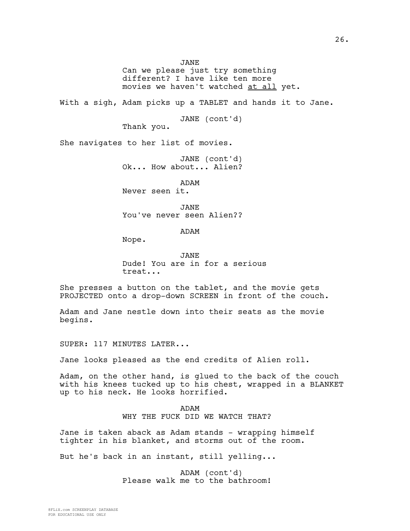JANE

Can we please just try something different? I have like ten more movies we haven't watched at all yet.

With a sigh, Adam picks up a TABLET and hands it to Jane.

JANE (cont'd)

Thank you.

She navigates to her list of movies.

JANE (cont'd) Ok... How about... Alien?

ADAM Never seen it.

JANE You've never seen Alien??

ADAM

Nope.

JANE Dude! You are in for a serious treat...

She presses a button on the tablet, and the movie gets PROJECTED onto a drop-down SCREEN in front of the couch.

Adam and Jane nestle down into their seats as the movie begins.

SUPER: 117 MINUTES LATER...

Jane looks pleased as the end credits of Alien roll.

Adam, on the other hand, is glued to the back of the couch with his knees tucked up to his chest, wrapped in a BLANKET up to his neck. He looks horrified.

#### ADAM

WHY THE FUCK DID WE WATCH THAT?

Jane is taken aback as Adam stands - wrapping himself tighter in his blanket, and storms out of the room.

But he's back in an instant, still yelling...

ADAM (cont'd) Please walk me to the bathroom!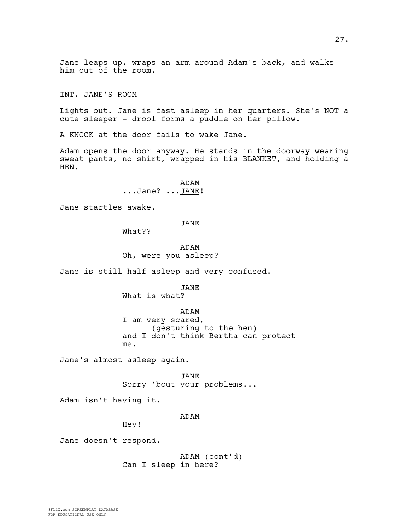Jane leaps up, wraps an arm around Adam's back, and walks him out of the room.

INT. JANE'S ROOM

Lights out. Jane is fast asleep in her quarters. She's NOT a cute sleeper - drool forms a puddle on her pillow.

A KNOCK at the door fails to wake Jane.

Adam opens the door anyway. He stands in the doorway wearing sweat pants, no shirt, wrapped in his BLANKET, and holding a HEN.

> ADAM ...Jane? ... JANE!

Jane startles awake.

JANE

What??

ADAM Oh, were you asleep?

Jane is still half-asleep and very confused.

JANE

What is what?

ADAM

I am very scared, (gesturing to the hen) and I don't think Bertha can protect me.

Jane's almost asleep again.

JANE Sorry 'bout your problems...

Adam isn't having it.

ADAM

Hey!

Jane doesn't respond.

ADAM (cont'd) Can I sleep in here?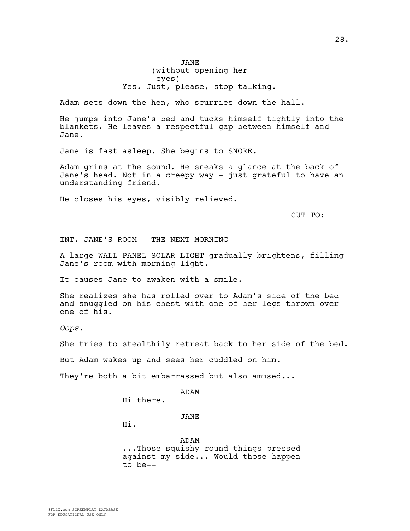JANE (without opening her eyes) Yes. Just, please, stop talking.

Adam sets down the hen, who scurries down the hall.

He jumps into Jane's bed and tucks himself tightly into the blankets. He leaves a respectful gap between himself and Jane.

Jane is fast asleep. She begins to SNORE.

Adam grins at the sound. He sneaks a glance at the back of Jane's head. Not in a creepy way - just grateful to have an understanding friend.

He closes his eyes, visibly relieved.

CUT TO:

INT. JANE'S ROOM - THE NEXT MORNING

A large WALL PANEL SOLAR LIGHT gradually brightens, filling Jane's room with morning light.

It causes Jane to awaken with a smile.

She realizes she has rolled over to Adam's side of the bed and snuggled on his chest with one of her legs thrown over one of his.

*Oops*.

She tries to stealthily retreat back to her side of the bed.

But Adam wakes up and sees her cuddled on him.

They're both a bit embarrassed but also amused...

ADAM

Hi there.

JANE

Hi.

ADAM ...Those squishy round things pressed against my side... Would those happen to be--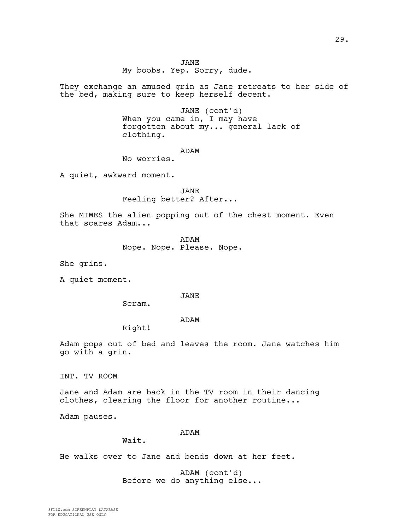# JANE My boobs. Yep. Sorry, dude.

They exchange an amused grin as Jane retreats to her side of the bed, making sure to keep herself decent.

> JANE (cont'd) When you came in, I may have forgotten about my... general lack of clothing.

### ADAM

No worries.

A quiet, awkward moment.

JANE Feeling better? After...

She MIMES the alien popping out of the chest moment. Even that scares Adam...

> ADAM Nope. Nope. Please. Nope.

She grins.

A quiet moment.

#### JANE

Scram.

## ADAM

Right!

Adam pops out of bed and leaves the room. Jane watches him go with a grin.

INT. TV ROOM

Jane and Adam are back in the TV room in their dancing clothes, clearing the floor for another routine...

Adam pauses.

### ADAM

Wait.

He walks over to Jane and bends down at her feet.

ADAM (cont'd) Before we do anything else...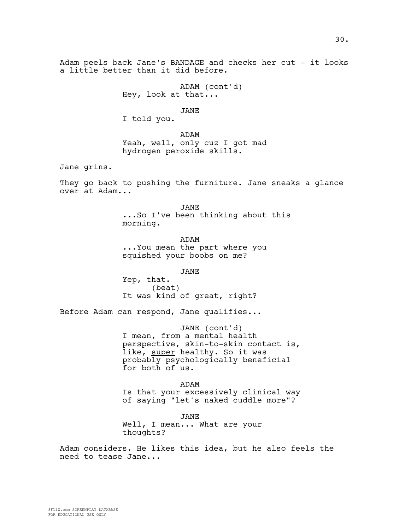Adam peels back Jane's BANDAGE and checks her cut - it looks a little better than it did before.

> ADAM (cont'd) Hey, look at that...

> > JANE

I told you.

ADAM Yeah, well, only cuz I got mad hydrogen peroxide skills.

Jane grins.

They go back to pushing the furniture. Jane sneaks a glance over at Adam...

JANE

...So I've been thinking about this morning.

ADAM ...You mean the part where you squished your boobs on me?

JANE

Yep, that. (beat) It was kind of great, right?

Before Adam can respond, Jane qualifies...

JANE (cont'd) I mean, from a mental health perspective, skin-to-skin contact is, like, super healthy. So it was probably psychologically beneficial for both of us.

ADAM

Is that your excessively clinical way of saying "let's naked cuddle more"?

JANE Well, I mean... What are your thoughts?

Adam considers. He likes this idea, but he also feels the need to tease Jane...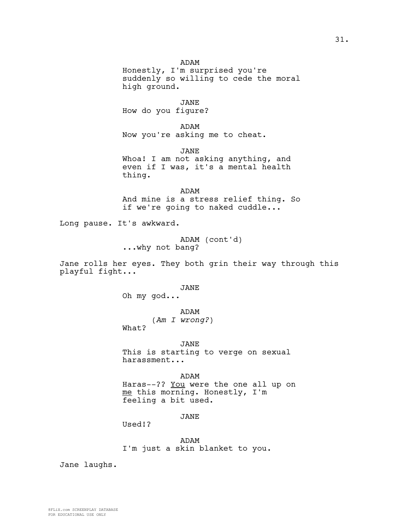ADAM Honestly, I'm surprised you're suddenly so willing to cede the moral high ground. JANE How do you figure? ADAM Now you're asking me to cheat. JANE Whoa! I am not asking anything, and even if I was, it's a mental health thing. ADAM And mine is a stress relief thing. So if we're going to naked cuddle... Long pause. It's awkward. ADAM (cont'd) ...why not bang? Jane rolls her eyes. They both grin their way through this playful fight... JANE Oh my god... ADAM (*Am I wrong?*) What? JANE This is starting to verge on sexual harassment... ADAM Haras--?? You were the one all up on me this morning. Honestly, I'm feeling a bit used. JANE Used!? ADAM I'm just a skin blanket to you. Jane laughs.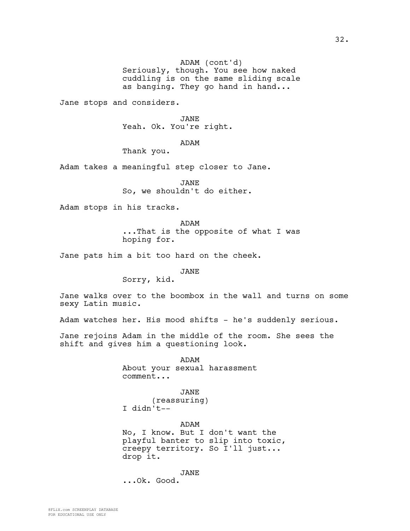ADAM (cont'd)

Seriously, though. You see how naked cuddling is on the same sliding scale as banging. They go hand in hand...

Jane stops and considers.

JANE Yeah. Ok. You're right.

ADAM

Thank you.

Adam takes a meaningful step closer to Jane.

JANE So, we shouldn't do either.

Adam stops in his tracks.

ADAM ...That is the opposite of what I was hoping for.

Jane pats him a bit too hard on the cheek.

JANE

Sorry, kid.

Jane walks over to the boombox in the wall and turns on some sexy Latin music.

Adam watches her. His mood shifts - he's suddenly serious.

Jane rejoins Adam in the middle of the room. She sees the shift and gives him a questioning look.

> ADAM About your sexual harassment comment...

JANE (reassuring) I didn't--

ADAM No, I know. But I don't want the playful banter to slip into toxic, creepy territory. So I'll just... drop it.

JANE

...Ok. Good.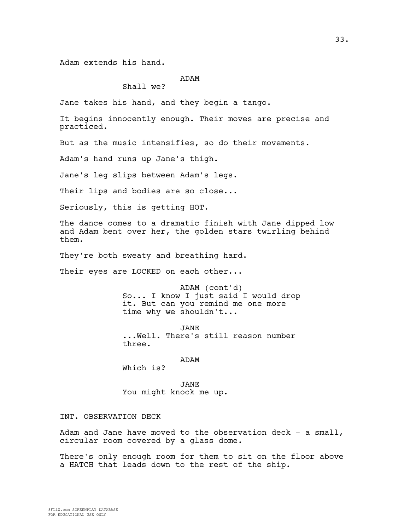Adam extends his hand.

## ADAM

Shall we?

Jane takes his hand, and they begin a tango.

It begins innocently enough. Their moves are precise and practiced.

But as the music intensifies, so do their movements.

Adam's hand runs up Jane's thigh.

Jane's leg slips between Adam's legs.

Their lips and bodies are so close...

Seriously, this is getting HOT.

The dance comes to a dramatic finish with Jane dipped low and Adam bent over her, the golden stars twirling behind them.

They're both sweaty and breathing hard.

Their eyes are LOCKED on each other...

ADAM (cont'd) So... I know I just said I would drop it. But can you remind me one more time why we shouldn't...

JANE ...Well. There's still reason number three.

ADAM

Which is?

JANE You might knock me up.

# INT. OBSERVATION DECK

Adam and Jane have moved to the observation deck  $-$  a small, circular room covered by a glass dome.

There's only enough room for them to sit on the floor above a HATCH that leads down to the rest of the ship.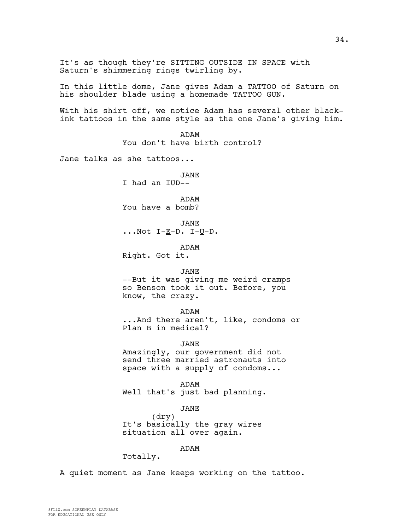It's as though they're SITTING OUTSIDE IN SPACE with Saturn's shimmering rings twirling by.

In this little dome, Jane gives Adam a TATTOO of Saturn on his shoulder blade using a homemade TATTOO GUN.

With his shirt off, we notice Adam has several other blackink tattoos in the same style as the one Jane's giving him.

> ADAM You don't have birth control?

Jane talks as she tattoos...

JANE I had an IUD--

ADAM You have a bomb?

JANE ...Not I-E-D. I-U-D.

ADAM Right. Got it.

# JANE

--But it was giving me weird cramps so Benson took it out. Before, you know, the crazy.

ADAM

...And there aren't, like, condoms or Plan B in medical?

JANE

Amazingly, our government did not send three married astronauts into space with a supply of condoms...

ADAM

Well that's just bad planning.

JANE

(dry) It's basically the gray wires situation all over again.

ADAM

Totally.

A quiet moment as Jane keeps working on the tattoo.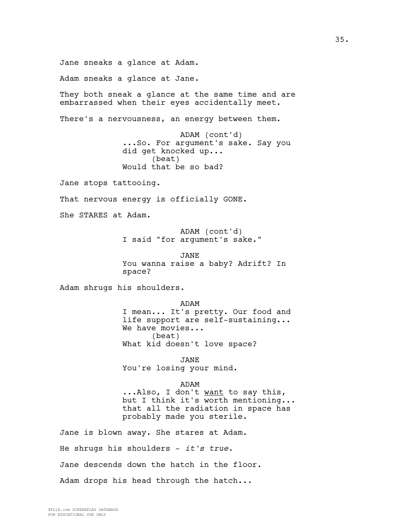Jane sneaks a glance at Adam.

Adam sneaks a glance at Jane.

They both sneak a glance at the same time and are embarrassed when their eyes accidentally meet.

There's a nervousness, an energy between them.

ADAM (cont'd) ...So. For argument's sake. Say you did get knocked up... (beat) Would that be so bad?

Jane stops tattooing.

That nervous energy is officially GONE.

She STARES at Adam.

ADAM (cont'd) I said "for argument's sake."

JANE You wanna raise a baby? Adrift? In space?

Adam shrugs his shoulders.

ADAM I mean... It's pretty. Our food and life support are self-sustaining... We have movies... (beat) What kid doesn't love space?

JANE You're losing your mind.

### ADAM

...Also, I don't want to say this, but I think it's worth mentioning... that all the radiation in space has probably made you sterile.

Jane is blown away. She stares at Adam. He shrugs his shoulders - *it's true*. Jane descends down the hatch in the floor. Adam drops his head through the hatch...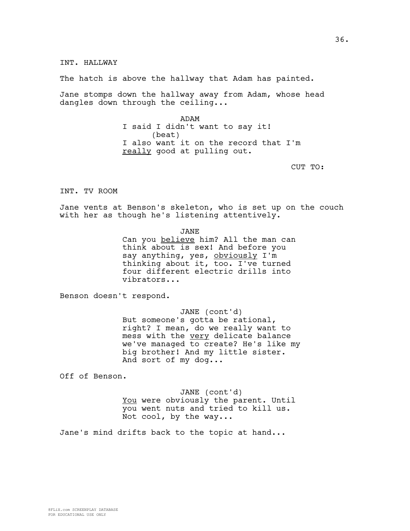The hatch is above the hallway that Adam has painted.

Jane stomps down the hallway away from Adam, whose head dangles down through the ceiling...

> ADAM I said I didn't want to say it! (beat) I also want it on the record that I'm really good at pulling out.

> > CUT TO:

INT. TV ROOM

Jane vents at Benson's skeleton, who is set up on the couch with her as though he's listening attentively.

JANE

Can you believe him? All the man can think about is sex! And before you say anything, yes, obviously I'm thinking about it, too. I've turned four different electric drills into vibrators...

Benson doesn't respond.

JANE (cont'd) But someone's gotta be rational, right? I mean, do we really want to mess with the very delicate balance we've managed to create? He's like my big brother! And my little sister. And sort of my dog...

Off of Benson.

JANE (cont'd) You were obviously the parent. Until you went nuts and tried to kill us. Not cool, by the way...

Jane's mind drifts back to the topic at hand...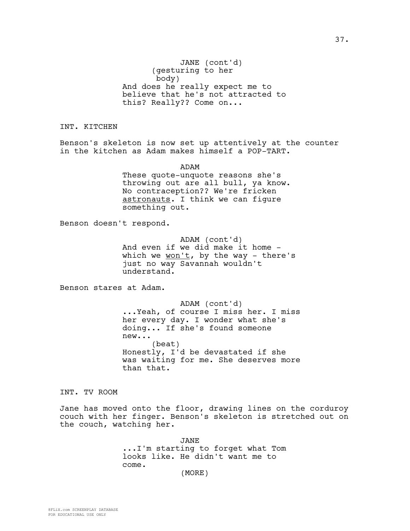JANE (cont'd) (gesturing to her body) And does he really expect me to believe that he's not attracted to this? Really?? Come on...

INT. KITCHEN

Benson's skeleton is now set up attentively at the counter in the kitchen as Adam makes himself a POP-TART.

> ADAM These quote-unquote reasons she's throwing out are all bull, ya know. No contraception?? We're fricken astronauts. I think we can figure something out.

Benson doesn't respond.

ADAM (cont'd) And even if we did make it home which we  $won't$ , by the way - there's</u> just no way Savannah wouldn't understand.

Benson stares at Adam.

ADAM (cont'd) ...Yeah, of course I miss her. I miss her every day. I wonder what she's doing... If she's found someone new... (beat) Honestly, I'd be devastated if she was waiting for me. She deserves more than that.

INT. TV ROOM

Jane has moved onto the floor, drawing lines on the corduroy couch with her finger. Benson's skeleton is stretched out on the couch, watching her.

> JANE ...I'm starting to forget what Tom looks like. He didn't want me to come.

(MORE)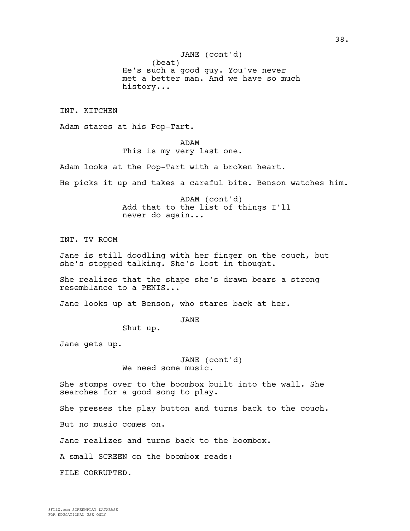(beat) JANE (cont'd) He's such a good guy. You've never met a better man. And we have so much history...

INT. KITCHEN

Adam stares at his Pop-Tart.

### ADAM

This is my very last one.

Adam looks at the Pop-Tart with a broken heart.

He picks it up and takes a careful bite. Benson watches him.

ADAM (cont'd) Add that to the list of things I'll never do again...

INT. TV ROOM

Jane is still doodling with her finger on the couch, but she's stopped talking. She's lost in thought.

She realizes that the shape she's drawn bears a strong resemblance to a PENIS...

Jane looks up at Benson, who stares back at her.

JANE

Shut up.

Jane gets up.

JANE (cont'd) We need some music.

She stomps over to the boombox built into the wall. She searches for a good song to play.

She presses the play button and turns back to the couch.

But no music comes on.

Jane realizes and turns back to the boombox.

A small SCREEN on the boombox reads:

FILE CORRUPTED.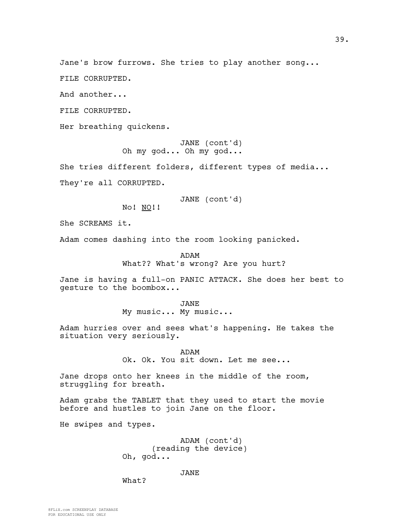Jane's brow furrows. She tries to play another song...

FILE CORRUPTED.

And another...

FILE CORRUPTED.

Her breathing quickens.

JANE (cont'd) Oh my god... Oh my god...

She tries different folders, different types of media... They're all CORRUPTED.

JANE (cont'd)

No! NO!!

She SCREAMS it.

Adam comes dashing into the room looking panicked.

ADAM What?? What's wrong? Are you hurt?

Jane is having a full-on PANIC ATTACK. She does her best to gesture to the boombox...

> JANE My music... My music...

Adam hurries over and sees what's happening. He takes the situation very seriously.

> ADAM Ok. Ok. You sit down. Let me see...

Jane drops onto her knees in the middle of the room, struggling for breath.

Adam grabs the TABLET that they used to start the movie before and hustles to join Jane on the floor.

He swipes and types.

ADAM (cont'd) (reading the device) Oh, god...

JANE

What?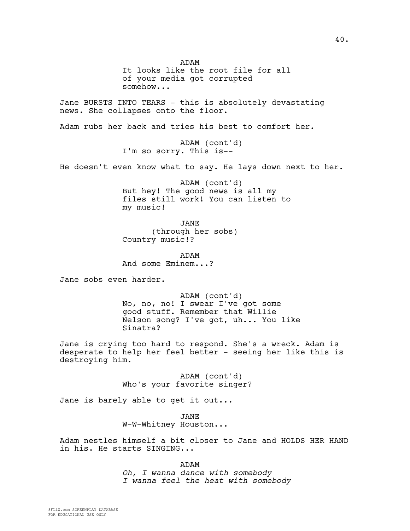ADAM It looks like the root file for all of your media got corrupted somehow...

Jane BURSTS INTO TEARS - this is absolutely devastating news. She collapses onto the floor.

Adam rubs her back and tries his best to comfort her.

ADAM (cont'd) I'm so sorry. This is--

He doesn't even know what to say. He lays down next to her.

ADAM (cont'd) But hey! The good news is all my files still work! You can listen to my music!

JANE (through her sobs) Country music!?

ADAM And some Eminem...?

Jane sobs even harder.

ADAM (cont'd) No, no, no! I swear I've got some good stuff. Remember that Willie Nelson song? I've got, uh... You like Sinatra?

Jane is crying too hard to respond. She's a wreck. Adam is desperate to help her feel better - seeing her like this is destroying him.

> ADAM (cont'd) Who's your favorite singer?

Jane is barely able to get it out...

JANE W-W-Whitney Houston...

Adam nestles himself a bit closer to Jane and HOLDS HER HAND in his. He starts SINGING...

ADAM

*Oh, I wanna dance with somebody I wanna feel the heat with somebody*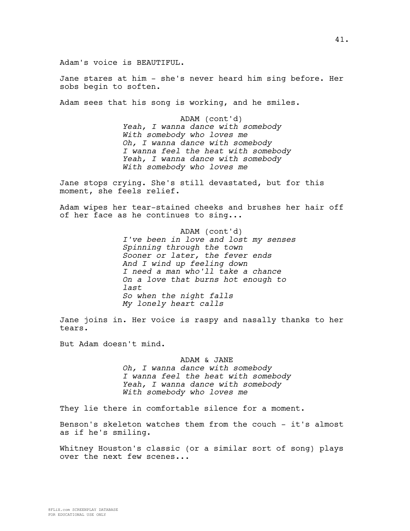Adam's voice is BEAUTIFUL.

Jane stares at him - she's never heard him sing before. Her sobs begin to soften.

Adam sees that his song is working, and he smiles.

ADAM (cont'd) *Yeah, I wanna dance with somebody With somebody who loves me Oh, I wanna dance with somebody I wanna feel the heat with somebody Yeah, I wanna dance with somebody With somebody who loves me*

Jane stops crying. She's still devastated, but for this moment, she feels relief.

Adam wipes her tear-stained cheeks and brushes her hair off of her face as he continues to sing...

> ADAM (cont'd) *I've been in love and lost my senses Spinning through the town Sooner or later, the fever ends And I wind up feeling down I need a man who'll take a chance On a love that burns hot enough to last So when the night falls My lonely heart calls*

Jane joins in. Her voice is raspy and nasally thanks to her tears.

But Adam doesn't mind.

ADAM & JANE *Oh, I wanna dance with somebody I wanna feel the heat with somebody Yeah, I wanna dance with somebody With somebody who loves me*

They lie there in comfortable silence for a moment.

Benson's skeleton watches them from the couch - it's almost as if he's smiling.

Whitney Houston's classic (or a similar sort of song) plays over the next few scenes...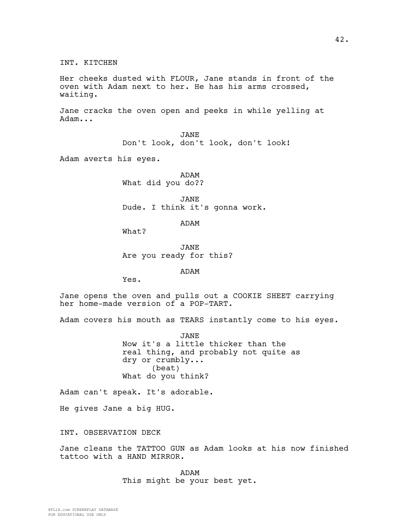Her cheeks dusted with FLOUR, Jane stands in front of the oven with Adam next to her. He has his arms crossed, waiting.

Jane cracks the oven open and peeks in while yelling at Adam...

> JANE Don't look, don't look, don't look!

Adam averts his eyes.

ADAM What did you do??

JANE Dude. I think it's gonna work.

ADAM

What?

JANE Are you ready for this?

ADAM

Yes.

Jane opens the oven and pulls out a COOKIE SHEET carrying her home-made version of a POP-TART.

Adam covers his mouth as TEARS instantly come to his eyes.

JANE Now it's a little thicker than the real thing, and probably not quite as dry or crumbly... (beat) What do you think?

Adam can't speak. It's adorable.

He gives Jane a big HUG.

INT. OBSERVATION DECK

Jane cleans the TATTOO GUN as Adam looks at his now finished tattoo with a HAND MIRROR.

> ADAM This might be your best yet.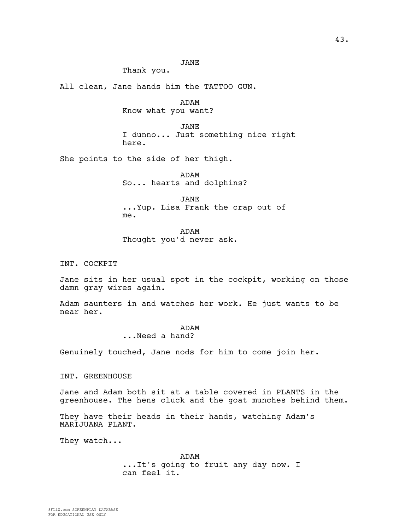## JANE

Thank you.

All clean, Jane hands him the TATTOO GUN.

ADAM Know what you want?

JANE I dunno... Just something nice right here.

She points to the side of her thigh.

ADAM So... hearts and dolphins?

JANE ...Yup. Lisa Frank the crap out of me.

ADAM Thought you'd never ask.

INT. COCKPIT

Jane sits in her usual spot in the cockpit, working on those damn gray wires again.

Adam saunters in and watches her work. He just wants to be near her.

ADAM

...Need a hand?

Genuinely touched, Jane nods for him to come join her.

INT. GREENHOUSE

Jane and Adam both sit at a table covered in PLANTS in the greenhouse. The hens cluck and the goat munches behind them.

They have their heads in their hands, watching Adam's MARIJUANA PLANT.

They watch...

ADAM ...It's going to fruit any day now. I can feel it.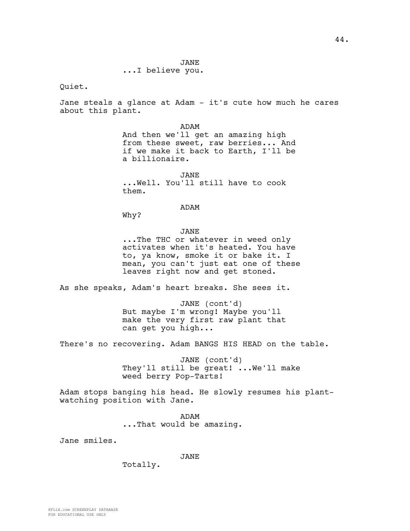JANE ...I believe you.

Quiet.

Jane steals a glance at Adam - it's cute how much he cares about this plant.

> ADAM And then we'll get an amazing high from these sweet, raw berries... And if we make it back to Earth, I'll be a billionaire.

JANE ...Well. You'll still have to cook them.

### ADAM

Why?

### JANE

...The THC or whatever in weed only activates when it's heated. You have to, ya know, smoke it or bake it. I mean, you can't just eat one of these leaves right now and get stoned.

As she speaks, Adam's heart breaks. She sees it.

JANE (cont'd) But maybe I'm wrong! Maybe you'll make the very first raw plant that can get you high...

There's no recovering. Adam BANGS HIS HEAD on the table.

JANE (cont'd) They'll still be great! ...We'll make weed berry Pop-Tarts!

Adam stops banging his head. He slowly resumes his plantwatching position with Jane.

> ADAM ...That would be amazing.

Jane smiles.

JANE

Totally.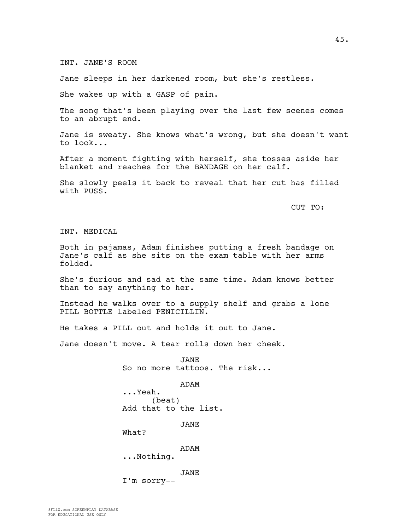Jane sleeps in her darkened room, but she's restless.

She wakes up with a GASP of pain.

The song that's been playing over the last few scenes comes to an abrupt end.

Jane is sweaty. She knows what's wrong, but she doesn't want to look...

After a moment fighting with herself, she tosses aside her blanket and reaches for the BANDAGE on her calf.

She slowly peels it back to reveal that her cut has filled with PUSS.

CUT TO:

INT. MEDICAL

Both in pajamas, Adam finishes putting a fresh bandage on Jane's calf as she sits on the exam table with her arms folded.

She's furious and sad at the same time. Adam knows better than to say anything to her.

Instead he walks over to a supply shelf and grabs a lone PILL BOTTLE labeled PENICILLIN.

He takes a PILL out and holds it out to Jane.

Jane doesn't move. A tear rolls down her cheek.

JANE So no more tattoos. The risk...

ADAM

...Yeah. (beat) Add that to the list.

JANE

What?

ADAM

...Nothing.

JANE

```
I'm sorry--
```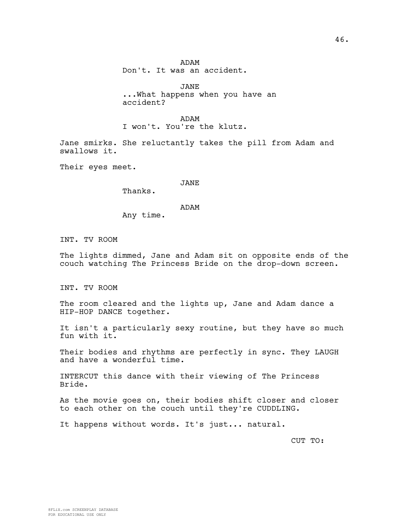ADAM Don't. It was an accident.

JANE ...What happens when you have an accident?

ADAM

I won't. You're the klutz.

Jane smirks. She reluctantly takes the pill from Adam and swallows it.

Their eyes meet.

### JANE

Thanks.

ADAM

Any time.

INT. TV ROOM

The lights dimmed, Jane and Adam sit on opposite ends of the couch watching The Princess Bride on the drop-down screen.

INT. TV ROOM

The room cleared and the lights up, Jane and Adam dance a HIP-HOP DANCE together.

It isn't a particularly sexy routine, but they have so much fun with it.

Their bodies and rhythms are perfectly in sync. They LAUGH and have a wonderful time.

INTERCUT this dance with their viewing of The Princess Bride.

As the movie goes on, their bodies shift closer and closer to each other on the couch until they're CUDDLING.

It happens without words. It's just... natural.

CUT TO: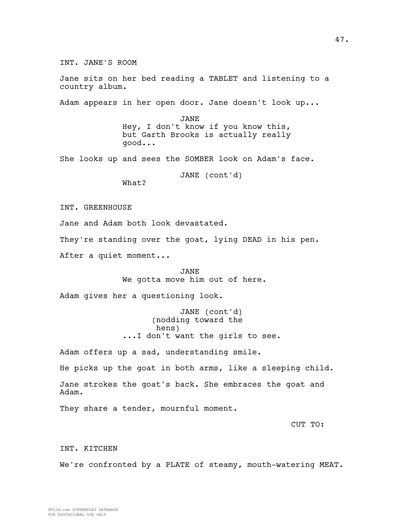INT. JANE'S ROOM

Jane sits on her bed reading a TABLET and listening to a country album.

Adam appears in her open door. Jane doesn't look up...

JANE Hey, I don't know if you know this, but Garth Brooks is actually really good...

She looks up and sees the SOMBER look on Adam's face.

JANE (cont'd)

What?

INT. GREENHOUSE

Jane and Adam both look devastated.

They're standing over the goat, lying DEAD in his pen.

After a quiet moment...

JANE We gotta move him out of here.

Adam gives her a questioning look.

JANE (cont'd) (nodding toward the hens) ...I don't want the girls to see.

Adam offers up a sad, understanding smile.

He picks up the goat in both arms, like a sleeping child.

Jane strokes the goat's back. She embraces the goat and Adam.

They share a tender, mournful moment.

CUT TO:

INT. KITCHEN

We're confronted by a PLATE of steamy, mouth-watering MEAT.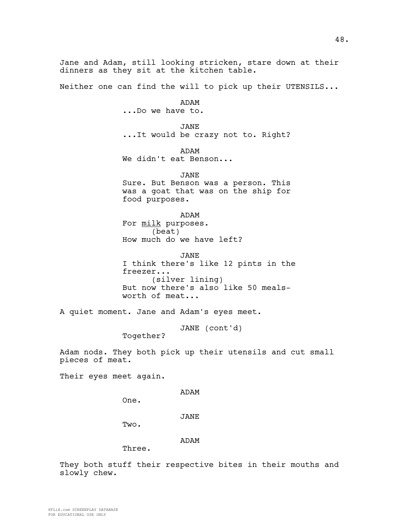dinners as they sit at the kitchen table. Neither one can find the will to pick up their UTENSILS... ADAM ...Do we have to. JANE ...It would be crazy not to. Right? ADAM We didn't eat Benson... JANE Sure. But Benson was a person. This was a goat that was on the ship for food purposes. ADAM For milk purposes. (beat) How much do we have left? JANE I think there's like 12 pints in the freezer... (silver lining) But now there's also like 50 mealsworth of meat... A quiet moment. Jane and Adam's eyes meet. JANE (cont'd) Together?

Jane and Adam, still looking stricken, stare down at their

Adam nods. They both pick up their utensils and cut small pieces of meat.

Their eyes meet again.

ADAM

One.

JANE

Two.

ADAM

Three.

They both stuff their respective bites in their mouths and slowly chew.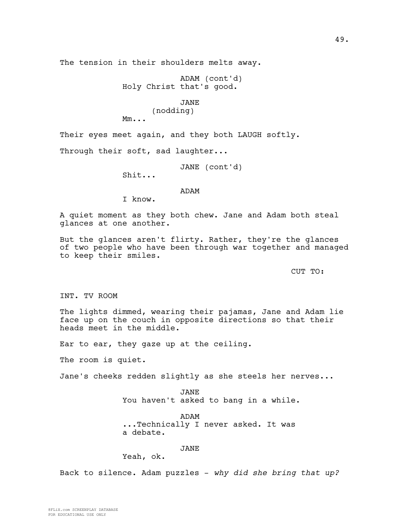The tension in their shoulders melts away.

ADAM (cont'd) Holy Christ that's good.

> JANE (nodding)

Mm...

Their eyes meet again, and they both LAUGH softly.

Through their soft, sad laughter...

JANE (cont'd)

Shit...

ADAM

I know.

A quiet moment as they both chew. Jane and Adam both steal glances at one another.

But the glances aren't flirty. Rather, they're the glances of two people who have been through war together and managed to keep their smiles.

CUT TO:

INT. TV ROOM

The lights dimmed, wearing their pajamas, Jane and Adam lie face up on the couch in opposite directions so that their heads meet in the middle.

Ear to ear, they gaze up at the ceiling.

The room is quiet.

Jane's cheeks redden slightly as she steels her nerves...

JANE You haven't asked to bang in a while.

ADAM ...Technically I never asked. It was a debate.

JANE

Yeah, ok.

Back to silence. Adam puzzles - *why did she bring that up?*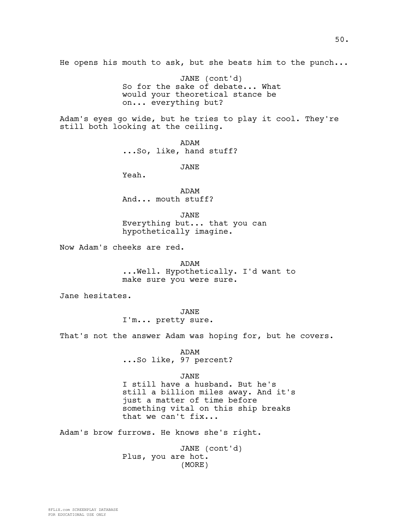He opens his mouth to ask, but she beats him to the punch...

JANE (cont'd) So for the sake of debate... What would your theoretical stance be on... everything but?

Adam's eyes go wide, but he tries to play it cool. They're still both looking at the ceiling.

> ADAM ...So, like, hand stuff?

> > JANE

Yeah.

ADAM And... mouth stuff?

JANE

Everything but... that you can hypothetically imagine.

Now Adam's cheeks are red.

ADAM ...Well. Hypothetically. I'd want to make sure you were sure.

Jane hesitates.

JANE I'm... pretty sure.

That's not the answer Adam was hoping for, but he covers.

ADAM ...So like, 97 percent?

JANE

I still have a husband. But he's still a billion miles away. And it's just a matter of time before something vital on this ship breaks that we can't fix...

Adam's brow furrows. He knows she's right.

JANE (cont'd) Plus, you are hot. (MORE)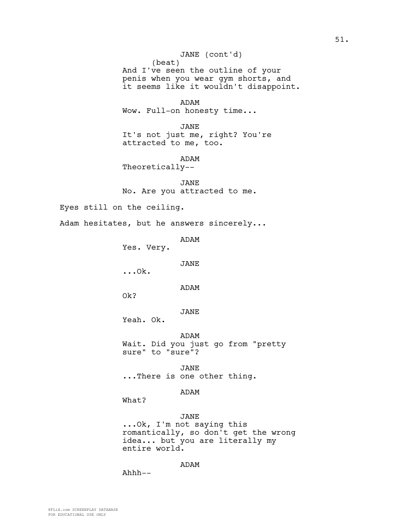(beat) JANE (cont'd) And I've seen the outline of your penis when you wear gym shorts, and it seems like it wouldn't disappoint.

ADAM Wow. Full-on honesty time...

JANE It's not just me, right? You're attracted to me, too.

ADAM Theoretically--

JANE No. Are you attracted to me.

Eyes still on the ceiling.

Adam hesitates, but he answers sincerely...

ADAM Yes. Very.

JANE

...Ok.

ADAM

Ok?

# JANE

Yeah. Ok.

ADAM Wait. Did you just go from "pretty sure" to "sure"?

JANE ...There is one other thing.

# ADAM

What?

JANE ...Ok, I'm not saying this romantically, so don't get the wrong idea... but you are literally my entire world.

ADAM

Ahhh--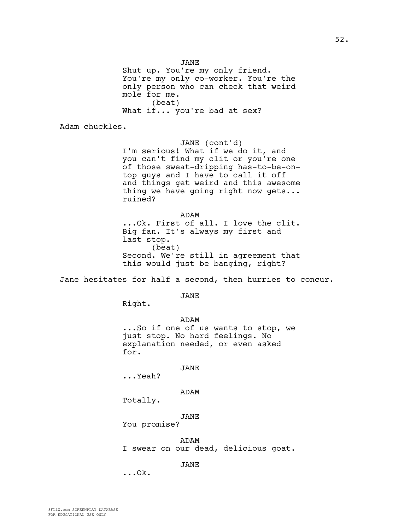JANE Shut up. You're my only friend. You're my only co-worker. You're the only person who can check that weird mole for me. (beat) What if... you're bad at sex?

Adam chuckles.

JANE (cont'd)

I'm serious! What if we do it, and you can't find my clit or you're one of those sweat-dripping has-to-be-ontop guys and I have to call it off and things get weird and this awesome thing we have going right now gets... ruined?

ADAM ...Ok. First of all. I love the clit. Big fan. It's always my first and last stop. (beat) Second. We're still in agreement that this would just be banging, right?

Jane hesitates for half a second, then hurries to concur.

JANE

Right.

ADAM

...So if one of us wants to stop, we just stop. No hard feelings. No explanation needed, or even asked for.

JANE

...Yeah?

ADAM

Totally.

JANE

You promise?

ADAM

I swear on our dead, delicious goat.

JANE

...Ok.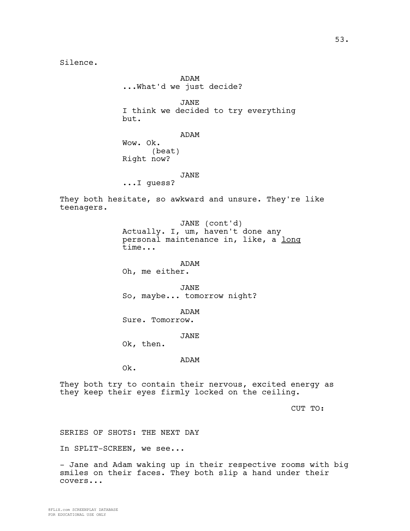Silence.

teenagers.

ADAM ...What'd we just decide? JANE I think we decided to try everything but. ADAM Wow. Ok. (beat) Right now? JANE ...I guess? They both hesitate, so awkward and unsure. They're like JANE (cont'd) Actually. I, um, haven't done any personal maintenance in, like, a long time... ADAM Oh, me either. JANE So, maybe... tomorrow night? ADAM Sure. Tomorrow. JANE Ok, then. ADAM

Ok.

They both try to contain their nervous, excited energy as they keep their eyes firmly locked on the ceiling.

CUT TO:

SERIES OF SHOTS: THE NEXT DAY

In SPLIT-SCREEN, we see...

- Jane and Adam waking up in their respective rooms with big smiles on their faces. They both slip a hand under their covers...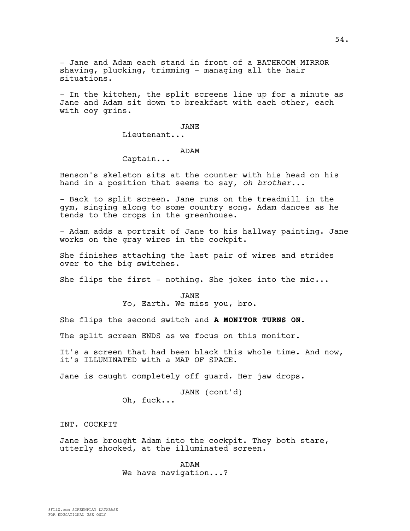- Jane and Adam each stand in front of a BATHROOM MIRROR shaving, plucking, trimming - managing all the hair situations.

- In the kitchen, the split screens line up for a minute as Jane and Adam sit down to breakfast with each other, each with coy grins.

#### JANE

Lieutenant...

### ADAM

# Captain...

Benson's skeleton sits at the counter with his head on his hand in a position that seems to say, *oh brother*...

- Back to split screen. Jane runs on the treadmill in the gym, singing along to some country song. Adam dances as he tends to the crops in the greenhouse.

- Adam adds a portrait of Jane to his hallway painting. Jane works on the gray wires in the cockpit.

She finishes attaching the last pair of wires and strides over to the big switches.

She flips the first - nothing. She jokes into the mic...

#### JANE

Yo, Earth. We miss you, bro.

She flips the second switch and **A MONITOR TURNS ON.**

The split screen ENDS as we focus on this monitor.

It's a screen that had been black this whole time. And now, it's ILLUMINATED with a MAP OF SPACE.

Jane is caught completely off guard. Her jaw drops.

JANE (cont'd)

Oh, fuck...

INT. COCKPIT

Jane has brought Adam into the cockpit. They both stare, utterly shocked, at the illuminated screen.

> ADAM We have navigation...?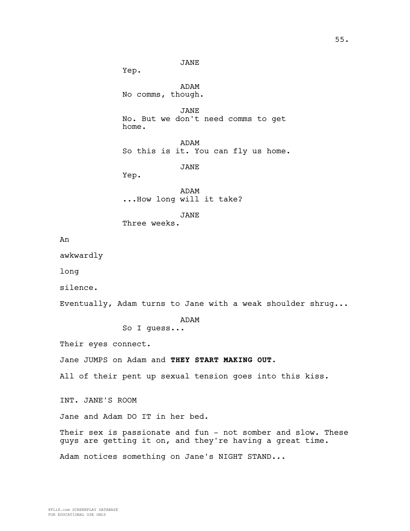JANE Yep. ADAM No comms, though. JANE No. But we don't need comms to get home. ADAM So this is it. You can fly us home. JANE Yep.

ADAM ...How long will it take?

JANE

Three weeks.

An

awkwardly

long

silence.

Eventually, Adam turns to Jane with a weak shoulder shrug...

ADAM

So I guess...

Their eyes connect.

Jane JUMPS on Adam and **THEY START MAKING OUT.**

All of their pent up sexual tension goes into this kiss.

INT. JANE'S ROOM

Jane and Adam DO IT in her bed.

Their sex is passionate and fun - not somber and slow. These guys are getting it on, and they're having a great time.

Adam notices something on Jane's NIGHT STAND...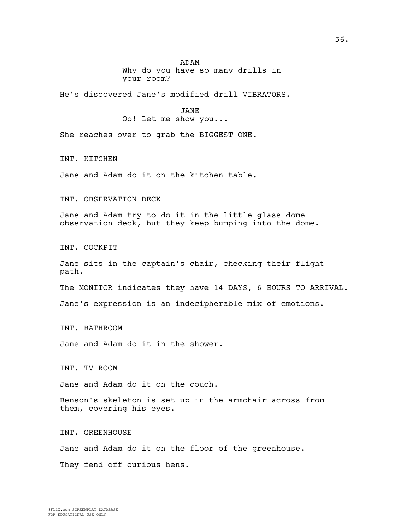Why do you have so many drills in your room?

He's discovered Jane's modified-drill VIBRATORS.

### JANE Oo! Let me show you...

She reaches over to grab the BIGGEST ONE.

INT. KITCHEN

Jane and Adam do it on the kitchen table.

### INT. OBSERVATION DECK

Jane and Adam try to do it in the little glass dome observation deck, but they keep bumping into the dome.

## INT. COCKPIT

Jane sits in the captain's chair, checking their flight path.

The MONITOR indicates they have 14 DAYS, 6 HOURS TO ARRIVAL.

Jane's expression is an indecipherable mix of emotions.

INT. BATHROOM

Jane and Adam do it in the shower.

INT. TV ROOM

Jane and Adam do it on the couch.

Benson's skeleton is set up in the armchair across from them, covering his eyes.

INT. GREENHOUSE

Jane and Adam do it on the floor of the greenhouse.

They fend off curious hens.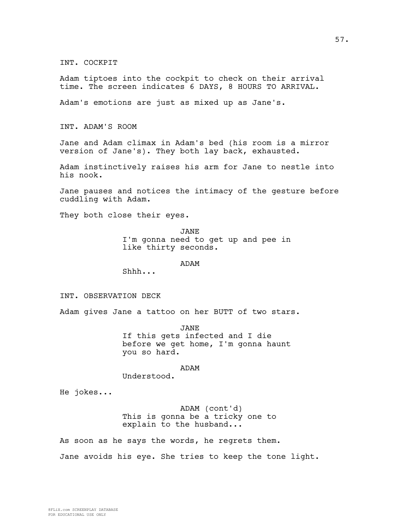INT. COCKPIT

Adam tiptoes into the cockpit to check on their arrival time. The screen indicates 6 DAYS, 8 HOURS TO ARRIVAL.

Adam's emotions are just as mixed up as Jane's.

INT. ADAM'S ROOM

Jane and Adam climax in Adam's bed (his room is a mirror version of Jane's). They both lay back, exhausted.

Adam instinctively raises his arm for Jane to nestle into his nook.

Jane pauses and notices the intimacy of the gesture before cuddling with Adam.

They both close their eyes.

JANE I'm gonna need to get up and pee in like thirty seconds.

ADAM

Shhh...

INT. OBSERVATION DECK

Adam gives Jane a tattoo on her BUTT of two stars.

JANE If this gets infected and I die before we get home, I'm gonna haunt you so hard.

#### ADAM

Understood.

He jokes...

ADAM (cont'd) This is gonna be a tricky one to explain to the husband...

As soon as he says the words, he regrets them.

Jane avoids his eye. She tries to keep the tone light.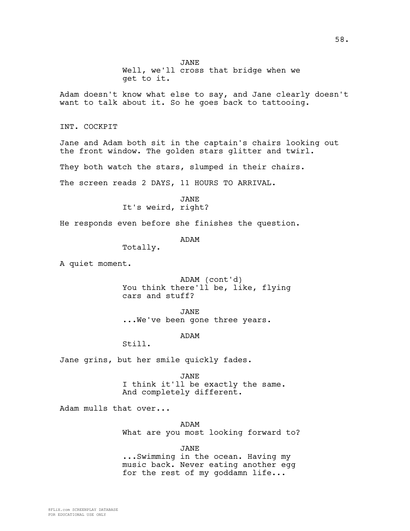Well, we'll cross that bridge when we get to it.

Adam doesn't know what else to say, and Jane clearly doesn't want to talk about it. So he goes back to tattooing.

INT. COCKPIT

Jane and Adam both sit in the captain's chairs looking out the front window. The golden stars glitter and twirl.

They both watch the stars, slumped in their chairs.

The screen reads 2 DAYS, 11 HOURS TO ARRIVAL.

JANE It's weird, right?

He responds even before she finishes the question.

ADAM

Totally.

A quiet moment.

ADAM (cont'd) You think there'll be, like, flying cars and stuff?

JANE ...We've been gone three years.

ADAM

Still.

Jane grins, but her smile quickly fades.

JANE

I think it'll be exactly the same. And completely different.

Adam mulls that over...

ADAM What are you most looking forward to?

JANE

...Swimming in the ocean. Having my music back. Never eating another egg for the rest of my goddamn life...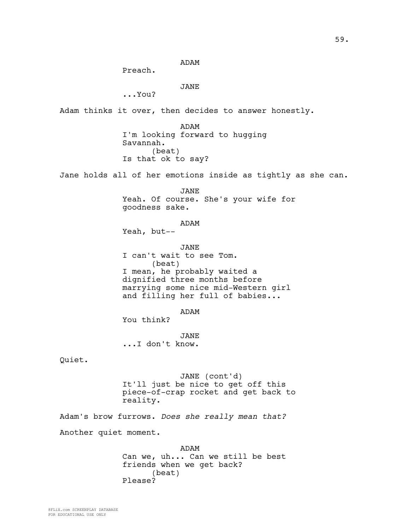ADAM

Preach.

# JANE

...You?

Adam thinks it over, then decides to answer honestly.

ADAM I'm looking forward to hugging Savannah. (beat) Is that ok to say?

Jane holds all of her emotions inside as tightly as she can.

JANE Yeah. Of course. She's your wife for goodness sake.

### ADAM

Yeah, but--

JANE I can't wait to see Tom. (beat) I mean, he probably waited a dignified three months before marrying some nice mid-Western girl and filling her full of babies...

ADAM

You think?

JANE ...I don't know.

Quiet.

JANE (cont'd) It'll just be nice to get off this piece-of-crap rocket and get back to reality.

Adam's brow furrows. *Does she really mean that?*

Another quiet moment.

ADAM Can we, uh... Can we still be best friends when we get back? (beat) Please?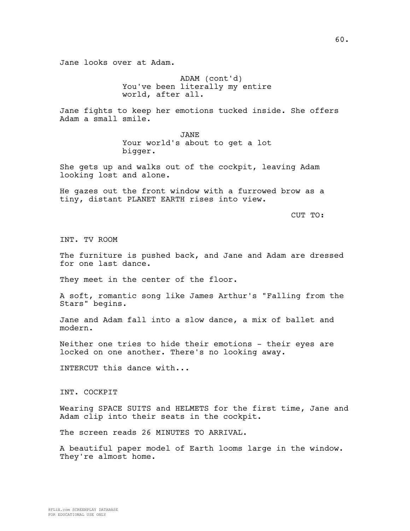Jane looks over at Adam.

ADAM (cont'd) You've been literally my entire world, after all.

Jane fights to keep her emotions tucked inside. She offers Adam a small smile.

> JANE Your world's about to get a lot bigger.

She gets up and walks out of the cockpit, leaving Adam looking lost and alone.

He gazes out the front window with a furrowed brow as a tiny, distant PLANET EARTH rises into view.

CUT TO:

INT. TV ROOM

The furniture is pushed back, and Jane and Adam are dressed for one last dance.

They meet in the center of the floor.

A soft, romantic song like James Arthur's "Falling from the Stars" begins.

Jane and Adam fall into a slow dance, a mix of ballet and modern.

Neither one tries to hide their emotions - their eyes are locked on one another. There's no looking away.

INTERCUT this dance with...

INT. COCKPIT

Wearing SPACE SUITS and HELMETS for the first time, Jane and Adam clip into their seats in the cockpit.

The screen reads 26 MINUTES TO ARRIVAL.

A beautiful paper model of Earth looms large in the window. They're almost home.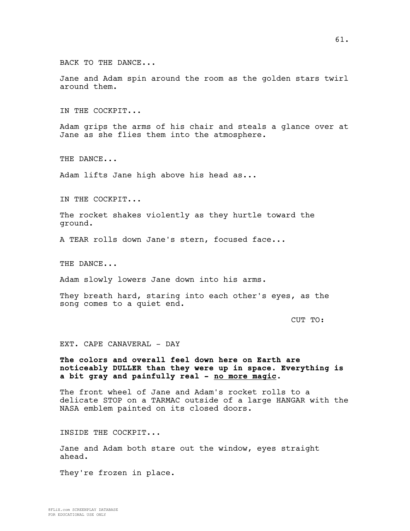Jane and Adam spin around the room as the golden stars twirl around them.

IN THE COCKPIT...

Adam grips the arms of his chair and steals a glance over at Jane as she flies them into the atmosphere.

THE DANCE...

Adam lifts Jane high above his head as...

IN THE COCKPIT...

The rocket shakes violently as they hurtle toward the ground.

A TEAR rolls down Jane's stern, focused face...

THE DANCE...

Adam slowly lowers Jane down into his arms.

They breath hard, staring into each other's eyes, as the song comes to a quiet end.

CUT TO:

EXT. CAPE CANAVERAL - DAY

**The colors and overall feel down here on Earth are noticeably DULLER than they were up in space. Everything is a bit gray and painfully real - no more magic.**

The front wheel of Jane and Adam's rocket rolls to a delicate STOP on a TARMAC outside of a large HANGAR with the NASA emblem painted on its closed doors.

INSIDE THE COCKPIT...

Jane and Adam both stare out the window, eyes straight ahead.

They're frozen in place.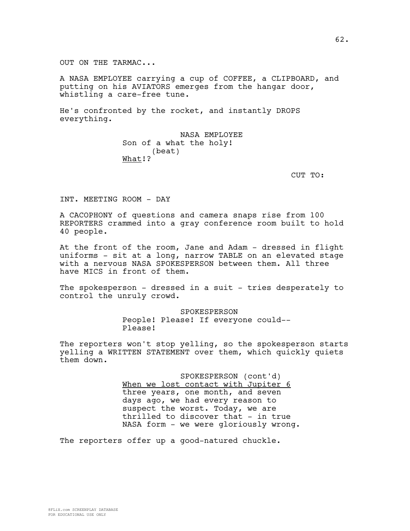A NASA EMPLOYEE carrying a cup of COFFEE, a CLIPBOARD, and putting on his AVIATORS emerges from the hangar door, whistling a care-free tune.

He's confronted by the rocket, and instantly DROPS everything.

> NASA EMPLOYEE Son of a what the holy! (beat) What!?

> > CUT TO:

INT. MEETING ROOM - DAY

A CACOPHONY of questions and camera snaps rise from 100 REPORTERS crammed into a gray conference room built to hold 40 people.

At the front of the room, Jane and Adam - dressed in flight uniforms - sit at a long, narrow TABLE on an elevated stage with a nervous NASA SPOKESPERSON between them. All three have MICS in front of them.

The spokesperson - dressed in a suit - tries desperately to control the unruly crowd.

> SPOKESPERSON People! Please! If everyone could-- Please!

The reporters won't stop yelling, so the spokesperson starts yelling a WRITTEN STATEMENT over them, which quickly quiets them down.

> SPOKESPERSON (cont'd) When we lost contact with Jupiter 6 three years, one month, and seven days ago, we had every reason to suspect the worst. Today, we are thrilled to discover that - in true NASA form - we were gloriously wrong.

The reporters offer up a good-natured chuckle.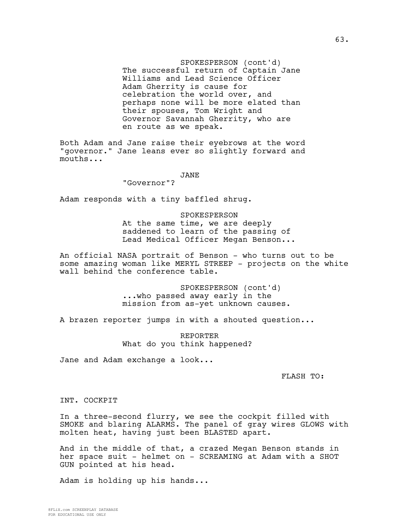### SPOKESPERSON (cont'd)

The successful return of Captain Jane Williams and Lead Science Officer Adam Gherrity is cause for celebration the world over, and perhaps none will be more elated than their spouses, Tom Wright and Governor Savannah Gherrity, who are en route as we speak.

Both Adam and Jane raise their eyebrows at the word "governor." Jane leans ever so slightly forward and mouths...

#### JANE

"Governor"?

Adam responds with a tiny baffled shrug.

SPOKESPERSON At the same time, we are deeply saddened to learn of the passing of Lead Medical Officer Megan Benson...

An official NASA portrait of Benson - who turns out to be some amazing woman like MERYL STREEP - projects on the white wall behind the conference table.

> SPOKESPERSON (cont'd) ...who passed away early in the mission from as-yet unknown causes.

A brazen reporter jumps in with a shouted question...

REPORTER What do you think happened?

Jane and Adam exchange a look...

FLASH TO:

### INT. COCKPIT

In a three-second flurry, we see the cockpit filled with SMOKE and blaring ALARMS. The panel of gray wires GLOWS with molten heat, having just been BLASTED apart.

And in the middle of that, a crazed Megan Benson stands in her space suit - helmet on - SCREAMING at Adam with a SHOT GUN pointed at his head.

Adam is holding up his hands...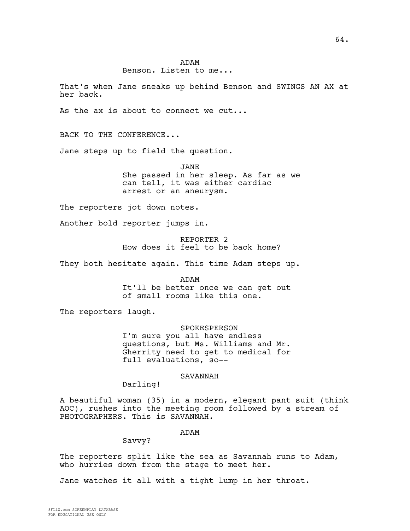## Benson. Listen to me...

That's when Jane sneaks up behind Benson and SWINGS AN AX at her back.

As the ax is about to connect we cut...

BACK TO THE CONFERENCE...

Jane steps up to field the question.

JANE She passed in her sleep. As far as we can tell, it was either cardiac arrest or an aneurysm.

The reporters jot down notes.

Another bold reporter jumps in.

REPORTER<sub>2</sub> How does it feel to be back home?

They both hesitate again. This time Adam steps up.

ADAM

It'll be better once we can get out of small rooms like this one.

The reporters laugh.

### **SPOKESPERSON**

I'm sure you all have endless questions, but Ms. Williams and Mr. Gherrity need to get to medical for full evaluations, so--

## SAVANNAH

Darling!

A beautiful woman (35) in a modern, elegant pant suit (think AOC), rushes into the meeting room followed by a stream of PHOTOGRAPHERS. This is SAVANNAH.

### ADAM

Savvy?

The reporters split like the sea as Savannah runs to Adam, who hurries down from the stage to meet her.

Jane watches it all with a tight lump in her throat.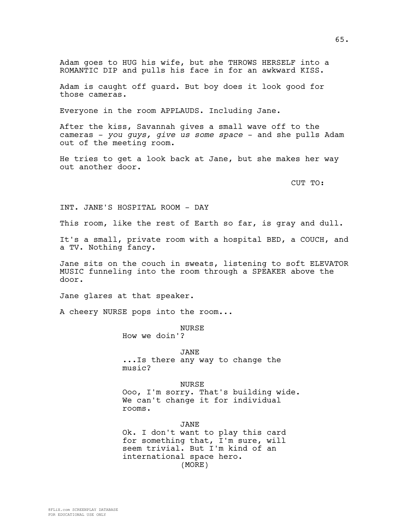Adam goes to HUG his wife, but she THROWS HERSELF into a ROMANTIC DIP and pulls his face in for an awkward KISS.

Adam is caught off guard. But boy does it look good for those cameras.

Everyone in the room APPLAUDS. Including Jane.

After the kiss, Savannah gives a small wave off to the cameras - *you guys, give us some space* - and she pulls Adam out of the meeting room.

He tries to get a look back at Jane, but she makes her way out another door.

CUT TO:

INT. JANE'S HOSPITAL ROOM - DAY

This room, like the rest of Earth so far, is gray and dull.

It's a small, private room with a hospital BED, a COUCH, and a TV. Nothing fancy.

Jane sits on the couch in sweats, listening to soft ELEVATOR MUSIC funneling into the room through a SPEAKER above the door.

Jane glares at that speaker.

A cheery NURSE pops into the room...

**NURSE** 

How we doin'?

JANE ...Is there any way to change the music?

NURSE Ooo, I'm sorry. That's building wide. We can't change it for individual rooms.

JANE Ok. I don't want to play this card for something that, I'm sure, will seem trivial. But I'm kind of an international space hero. (MORE)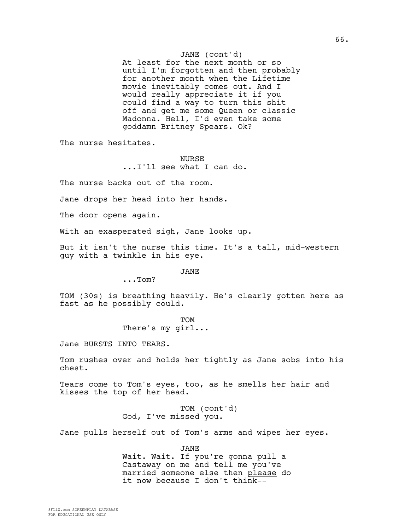#### JANE (cont'd)

At least for the next month or so until I'm forgotten and then probably for another month when the Lifetime movie inevitably comes out. And I would really appreciate it if you could find a way to turn this shit off and get me some Queen or classic Madonna. Hell, I'd even take some goddamn Britney Spears. Ok?

The nurse hesitates.

NURSE ...I'll see what I can do.

The nurse backs out of the room.

Jane drops her head into her hands.

The door opens again.

With an exasperated sigh, Jane looks up.

But it isn't the nurse this time. It's a tall, mid-western guy with a twinkle in his eye.

JANE

...Tom?

TOM (30s) is breathing heavily. He's clearly gotten here as fast as he possibly could.

> TOM There's my girl...

Jane BURSTS INTO TEARS.

Tom rushes over and holds her tightly as Jane sobs into his chest.

Tears come to Tom's eyes, too, as he smells her hair and kisses the top of her head.

> TOM (cont'd) God, I've missed you.

Jane pulls herself out of Tom's arms and wipes her eyes.

JANE

Wait. Wait. If you're gonna pull a Castaway on me and tell me you've married someone else then please do it now because I don't think--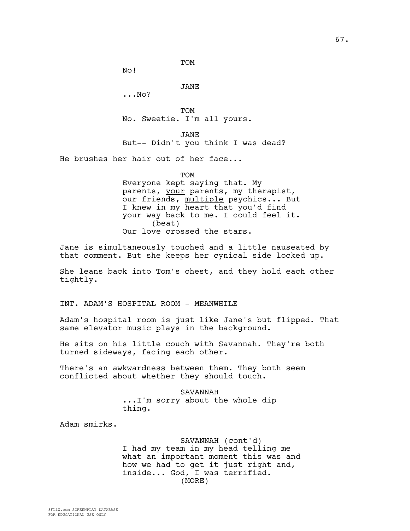**TOM** 

No!

JANE

...No?

TOM No. Sweetie. I'm all yours.

JANE But-- Didn't you think I was dead?

He brushes her hair out of her face...

TOM

Everyone kept saying that. My parents, your parents, my therapist, our friends, multiple psychics... But I knew in my heart that you'd find your way back to me. I could feel it. (beat) Our love crossed the stars.

Jane is simultaneously touched and a little nauseated by that comment. But she keeps her cynical side locked up.

She leans back into Tom's chest, and they hold each other tightly.

INT. ADAM'S HOSPITAL ROOM - MEANWHILE

Adam's hospital room is just like Jane's but flipped. That same elevator music plays in the background.

He sits on his little couch with Savannah. They're both turned sideways, facing each other.

There's an awkwardness between them. They both seem conflicted about whether they should touch.

> SAVANNAH ...I'm sorry about the whole dip thing.

Adam smirks.

SAVANNAH (cont'd) I had my team in my head telling me what an important moment this was and how we had to get it just right and, inside... God, I was terrified. (MORE)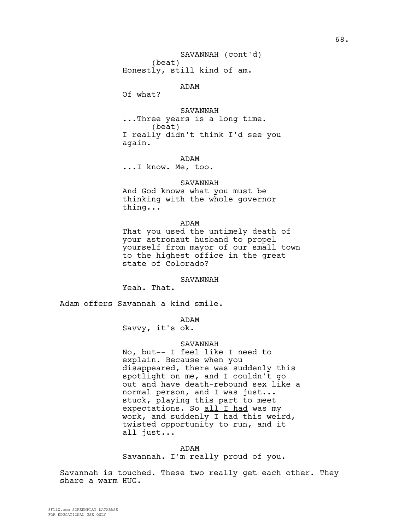(beat) SAVANNAH (cont'd) Honestly, still kind of am.

ADAM

Of what?

SAVANNAH ...Three years is a long time. (beat) I really didn't think I'd see you again.

ADAM ...I know. Me, too.

#### SAVANNAH

And God knows what you must be thinking with the whole governor thing...

#### ADAM

That you used the untimely death of your astronaut husband to propel yourself from mayor of our small town to the highest office in the great state of Colorado?

### SAVANNAH

Yeah. That.

Adam offers Savannah a kind smile.

#### ADAM

Savvy, it's ok.

#### SAVANNAH

No, but-- I feel like I need to explain. Because when you disappeared, there was suddenly this spotlight on me, and I couldn't go out and have death-rebound sex like a normal person, and I was just... stuck, playing this part to meet expectations. So all I had was my work, and suddenly I had this weird, twisted opportunity to run, and it all just...

#### ADAM

Savannah. I'm really proud of you.

Savannah is touched. These two really get each other. They share a warm HUG.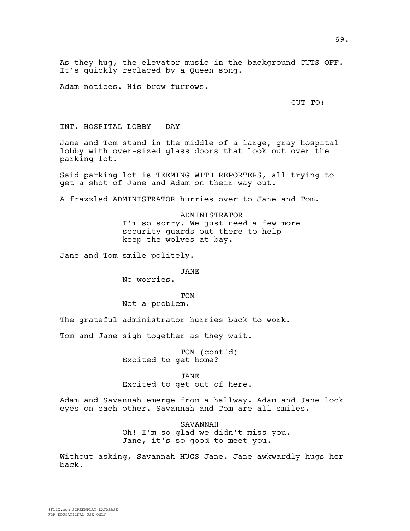As they hug, the elevator music in the background CUTS OFF. It's quickly replaced by a Queen song.

Adam notices. His brow furrows.

CUT TO:

INT. HOSPITAL LOBBY - DAY

Jane and Tom stand in the middle of a large, gray hospital lobby with over-sized glass doors that look out over the parking lot.

Said parking lot is TEEMING WITH REPORTERS, all trying to get a shot of Jane and Adam on their way out.

A frazzled ADMINISTRATOR hurries over to Jane and Tom.

ADMINISTRATOR I'm so sorry. We just need a few more security guards out there to help keep the wolves at bay.

Jane and Tom smile politely.

JANE

No worries.

TOM Not a problem.

The grateful administrator hurries back to work.

Tom and Jane sigh together as they wait.

TOM (cont'd) Excited to get home?

JANE Excited to get out of here.

Adam and Savannah emerge from a hallway. Adam and Jane lock eyes on each other. Savannah and Tom are all smiles.

> SAVANNAH Oh! I'm so glad we didn't miss you. Jane, it's so good to meet you.

Without asking, Savannah HUGS Jane. Jane awkwardly hugs her back.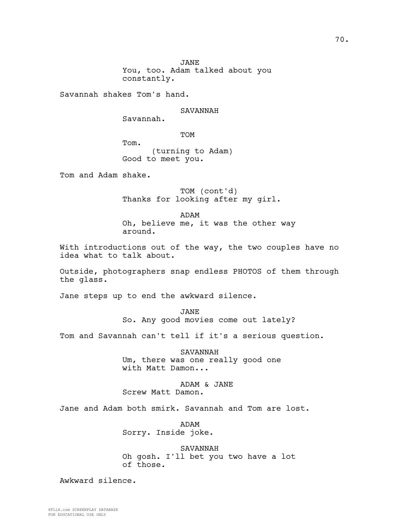JANE You, too. Adam talked about you constantly.

Savannah shakes Tom's hand.

# SAVANNAH

Savannah.

**TOM** 

Tom. (turning to Adam) Good to meet you.

Tom and Adam shake.

TOM (cont'd) Thanks for looking after my girl.

ADAM

Oh, believe me, it was the other way around.

With introductions out of the way, the two couples have no idea what to talk about.

Outside, photographers snap endless PHOTOS of them through the glass.

Jane steps up to end the awkward silence.

JANE So. Any good movies come out lately?

Tom and Savannah can't tell if it's a serious question.

SAVANNAH Um, there was one really good one with Matt Damon...

ADAM & JANE Screw Matt Damon.

Jane and Adam both smirk. Savannah and Tom are lost.

ADAM Sorry. Inside joke.

SAVANNAH Oh gosh. I'll bet you two have a lot of those.

Awkward silence.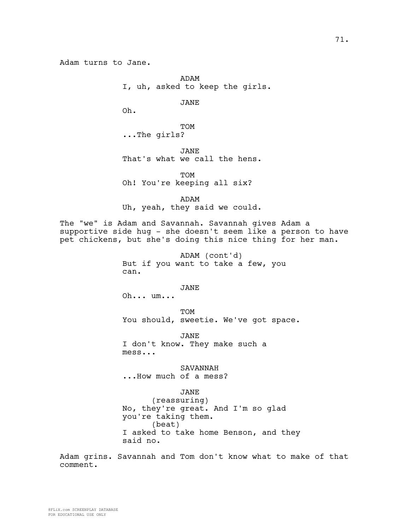Adam turns to Jane.

ADAM I, uh, asked to keep the girls.

JANE

Oh.

TOM ...The girls?

JANE That's what we call the hens.

**TOM** Oh! You're keeping all six?

ADAM Uh, yeah, they said we could.

The "we" is Adam and Savannah. Savannah gives Adam a supportive side hug - she doesn't seem like a person to have pet chickens, but she's doing this nice thing for her man.

> ADAM (cont'd) But if you want to take a few, you can.

> > JANE

Oh... um...

**TOM** You should, sweetie. We've got space.

JANE I don't know. They make such a mess...

SAVANNAH

...How much of a mess?

JANE

(reassuring) No, they're great. And I'm so glad you're taking them. (beat) I asked to take home Benson, and they said no.

Adam grins. Savannah and Tom don't know what to make of that comment.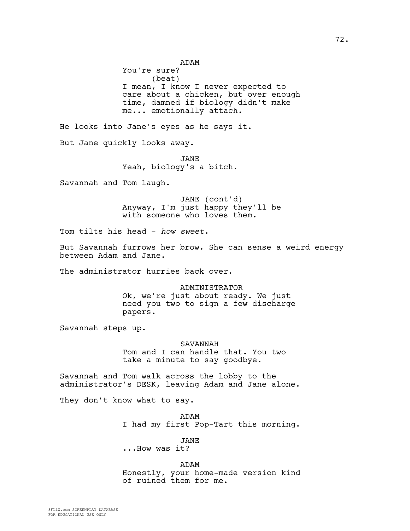You're sure? (beat) I mean, I know I never expected to care about a chicken, but over enough time, damned if biology didn't make me... emotionally attach.

He looks into Jane's eyes as he says it.

But Jane quickly looks away.

JANE Yeah, biology's a bitch.

Savannah and Tom laugh.

JANE (cont'd) Anyway, I'm just happy they'll be with someone who loves them.

Tom tilts his head - *how sweet*.

But Savannah furrows her brow. She can sense a weird energy between Adam and Jane.

The administrator hurries back over.

ADMINISTRATOR Ok, we're just about ready. We just need you two to sign a few discharge papers.

Savannah steps up.

# SAVANNAH

Tom and I can handle that. You two take a minute to say goodbye.

Savannah and Tom walk across the lobby to the administrator's DESK, leaving Adam and Jane alone.

They don't know what to say.

ADAM I had my first Pop-Tart this morning.

JANE

...How was it?

ADAM

Honestly, your home-made version kind of ruined them for me.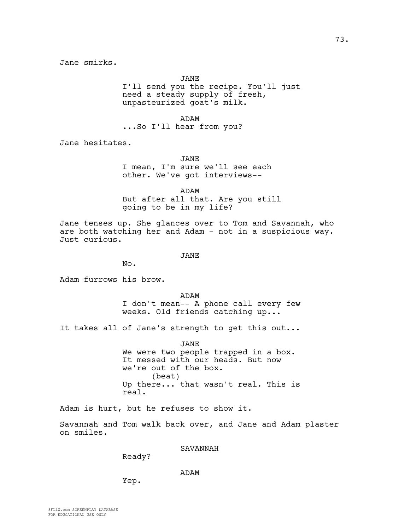Jane smirks.

JANE

I'll send you the recipe. You'll just need a steady supply of fresh, unpasteurized goat's milk.

ADAM

...So I'll hear from you?

Jane hesitates.

JANE I mean, I'm sure we'll see each other. We've got interviews--

ADAM But after all that. Are you still going to be in my life?

Jane tenses up. She glances over to Tom and Savannah, who are both watching her and Adam - not in a suspicious way. Just curious.

JANE

No.

Adam furrows his brow.

ADAM

I don't mean-- A phone call every few weeks. Old friends catching up...

It takes all of Jane's strength to get this out...

JANE We were two people trapped in a box. It messed with our heads. But now we're out of the box. (beat) Up there... that wasn't real. This is real.

Adam is hurt, but he refuses to show it.

Savannah and Tom walk back over, and Jane and Adam plaster on smiles.

SAVANNAH

Ready?

ADAM

Yep.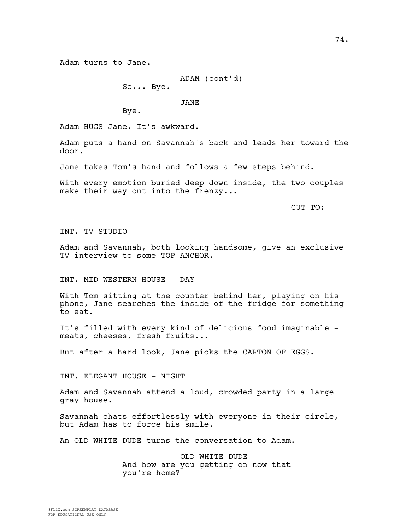Adam turns to Jane.

ADAM (cont'd)

So... Bye.

JANE

Bye.

Adam HUGS Jane. It's awkward.

Adam puts a hand on Savannah's back and leads her toward the door.

Jane takes Tom's hand and follows a few steps behind.

With every emotion buried deep down inside, the two couples make their way out into the frenzy...

CUT TO:

INT. TV STUDIO

Adam and Savannah, both looking handsome, give an exclusive TV interview to some TOP ANCHOR.

INT. MID-WESTERN HOUSE - DAY

With Tom sitting at the counter behind her, playing on his phone, Jane searches the inside of the fridge for something to eat.

It's filled with every kind of delicious food imaginable meats, cheeses, fresh fruits...

But after a hard look, Jane picks the CARTON OF EGGS.

INT. ELEGANT HOUSE - NIGHT

Adam and Savannah attend a loud, crowded party in a large gray house.

Savannah chats effortlessly with everyone in their circle, but Adam has to force his smile.

An OLD WHITE DUDE turns the conversation to Adam.

OLD WHITE DUDE And how are you getting on now that you're home?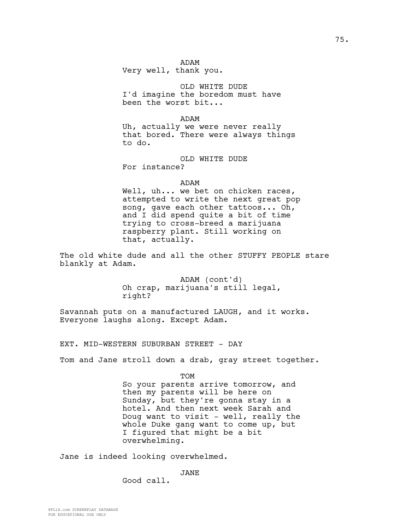ADAM Very well, thank you.

OLD WHITE DUDE I'd imagine the boredom must have been the worst bit...

ADAM

Uh, actually we were never really that bored. There were always things to do.

OLD WHITE DUDE For instance?

#### ADAM

Well, uh... we bet on chicken races, attempted to write the next great pop song, gave each other tattoos... Oh, and I did spend quite a bit of time trying to cross-breed a marijuana raspberry plant. Still working on that, actually.

The old white dude and all the other STUFFY PEOPLE stare blankly at Adam.

> ADAM (cont'd) Oh crap, marijuana's still legal, right?

Savannah puts on a manufactured LAUGH, and it works. Everyone laughs along. Except Adam.

EXT. MID-WESTERN SUBURBAN STREET - DAY

Tom and Jane stroll down a drab, gray street together.

TOM

So your parents arrive tomorrow, and then my parents will be here on Sunday, but they're gonna stay in a hotel. And then next week Sarah and Doug want to visit - well, really the whole Duke gang want to come up, but I figured that might be a bit overwhelming.

Jane is indeed looking overwhelmed.

Good call.

JANE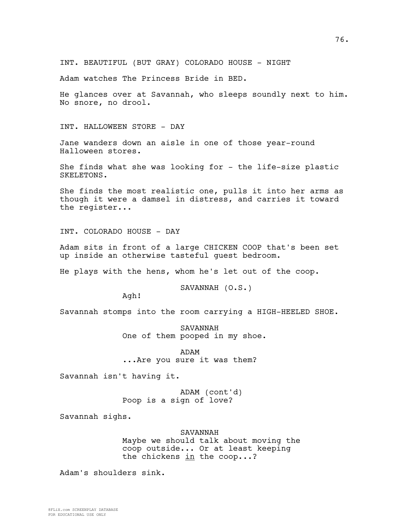INT. BEAUTIFUL (BUT GRAY) COLORADO HOUSE - NIGHT

Adam watches The Princess Bride in BED.

He glances over at Savannah, who sleeps soundly next to him. No snore, no drool.

INT. HALLOWEEN STORE - DAY

Jane wanders down an aisle in one of those year-round Halloween stores.

She finds what she was looking for - the life-size plastic SKELETONS.

She finds the most realistic one, pulls it into her arms as though it were a damsel in distress, and carries it toward the register...

INT. COLORADO HOUSE - DAY

Adam sits in front of a large CHICKEN COOP that's been set up inside an otherwise tasteful guest bedroom.

He plays with the hens, whom he's let out of the coop.

SAVANNAH (O.S.)

Agh!

Savannah stomps into the room carrying a HIGH-HEELED SHOE.

SAVANNAH One of them pooped in my shoe.

ADAM ...Are you sure it was them?

Savannah isn't having it.

ADAM (cont'd) Poop is a sign of love?

Savannah sighs.

SAVANNAH

Maybe we should talk about moving the coop outside... Or at least keeping the chickens in the coop...?

Adam's shoulders sink.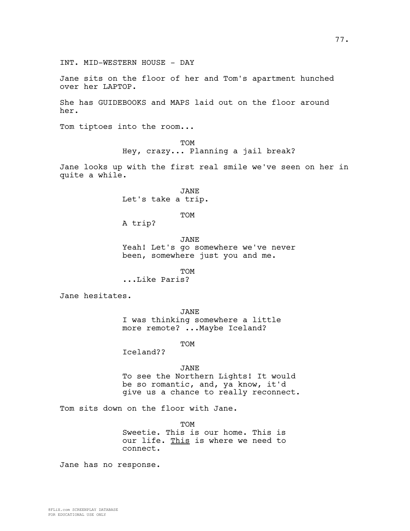Jane sits on the floor of her and Tom's apartment hunched over her LAPTOP.

She has GUIDEBOOKS and MAPS laid out on the floor around her.

Tom tiptoes into the room...

TOM

Hey, crazy... Planning a jail break?

Jane looks up with the first real smile we've seen on her in quite a while.

> JANE Let's take a trip.

> > TOM

A trip?

JANE Yeah! Let's go somewhere we've never been, somewhere just you and me.

**TOM** 

...Like Paris?

Jane hesitates.

JANE I was thinking somewhere a little more remote? ...Maybe Iceland?

**TOM** 

Iceland??

JANE

To see the Northern Lights! It would be so romantic, and, ya know, it'd give us a chance to really reconnect.

Tom sits down on the floor with Jane.

TOM Sweetie. This is our home. This is our life. This is where we need to connect.

Jane has no response.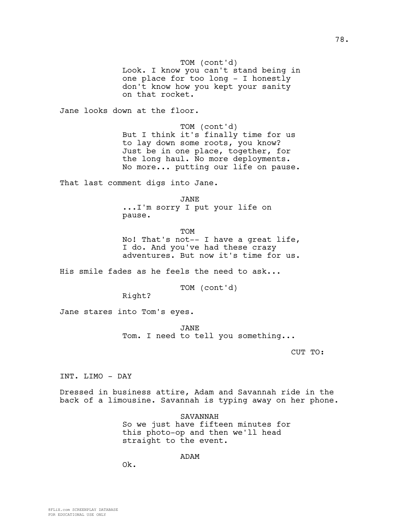TOM (cont'd)

Look. I know you can't stand being in one place for too long - I honestly don't know how you kept your sanity on that rocket.

Jane looks down at the floor.

TOM (cont'd) But I think it's finally time for us to lay down some roots, you know? Just be in one place, together, for the long haul. No more deployments. No more... putting our life on pause.

That last comment digs into Jane.

JANE

...I'm sorry I put your life on pause.

TOM

No! That's not-- I have a great life, I do. And you've had these crazy adventures. But now it's time for us.

His smile fades as he feels the need to ask...

TOM (cont'd)

Right?

Jane stares into Tom's eyes.

JANE Tom. I need to tell you something...

CUT TO:

INT. LIMO - DAY

Dressed in business attire, Adam and Savannah ride in the back of a limousine. Savannah is typing away on her phone.

> SAVANNAH So we just have fifteen minutes for this photo-op and then we'll head straight to the event.

> > ADAM

Ok.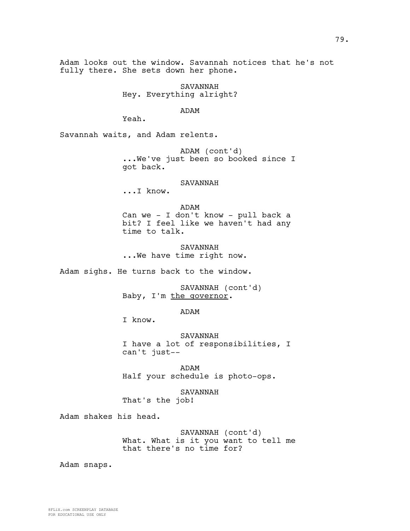Adam looks out the window. Savannah notices that he's not fully there. She sets down her phone.

> SAVANNAH Hey. Everything alright?

> > ADAM

Yeah.

Savannah waits, and Adam relents.

ADAM (cont'd) ...We've just been so booked since I got back.

# SAVANNAH

...I know.

ADAM

Can we - I don't know - pull back a bit? I feel like we haven't had any time to talk.

SAVANNAH ...We have time right now.

Adam sighs. He turns back to the window.

SAVANNAH (cont'd) Baby, I'm the governor.

ADAM

I know.

SAVANNAH I have a lot of responsibilities, I can't just--

ADAM Half your schedule is photo-ops.

SAVANNAH

That's the job!

Adam shakes his head.

SAVANNAH (cont'd) What. What is it you want to tell me that there's no time for?

Adam snaps.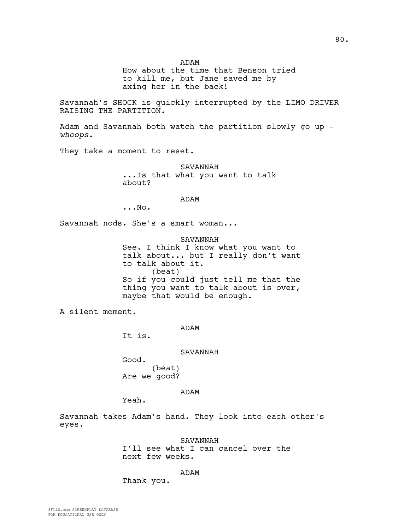How about the time that Benson tried to kill me, but Jane saved me by axing her in the back!

Savannah's SHOCK is quickly interrupted by the LIMO DRIVER RAISING THE PARTITION.

Adam and Savannah both watch the partition slowly go up *whoops*.

They take a moment to reset.

SAVANNAH ...Is that what you want to talk about?

ADAM

...No.

Savannah nods. She's a smart woman...

SAVANNAH See. I think I know what you want to talk about... but I really don't want to talk about it. (beat) So if you could just tell me that the thing you want to talk about is over, maybe that would be enough.

A silent moment.

ADAM

It is.

SAVANNAH

Good. (beat) Are we good?

## ADAM

Yeah.

Savannah takes Adam's hand. They look into each other's eyes.

> SAVANNAH I'll see what I can cancel over the next few weeks.

> > ADAM

Thank you.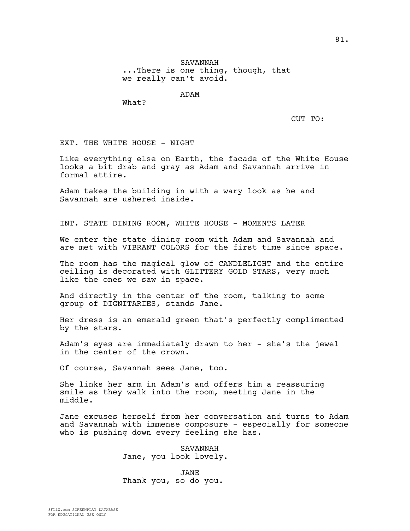What?

CUT TO:

EXT. THE WHITE HOUSE - NIGHT

Like everything else on Earth, the facade of the White House looks a bit drab and gray as Adam and Savannah arrive in formal attire.

Adam takes the building in with a wary look as he and Savannah are ushered inside.

INT. STATE DINING ROOM, WHITE HOUSE - MOMENTS LATER

We enter the state dining room with Adam and Savannah and are met with VIBRANT COLORS for the first time since space.

The room has the magical glow of CANDLELIGHT and the entire ceiling is decorated with GLITTERY GOLD STARS, very much like the ones we saw in space.

And directly in the center of the room, talking to some group of DIGNITARIES, stands Jane.

Her dress is an emerald green that's perfectly complimented by the stars.

Adam's eyes are immediately drawn to her - she's the jewel in the center of the crown.

Of course, Savannah sees Jane, too.

She links her arm in Adam's and offers him a reassuring smile as they walk into the room, meeting Jane in the middle.

Jane excuses herself from her conversation and turns to Adam and Savannah with immense composure - especially for someone who is pushing down every feeling she has.

> SAVANNAH Jane, you look lovely.

JANE Thank you, so do you.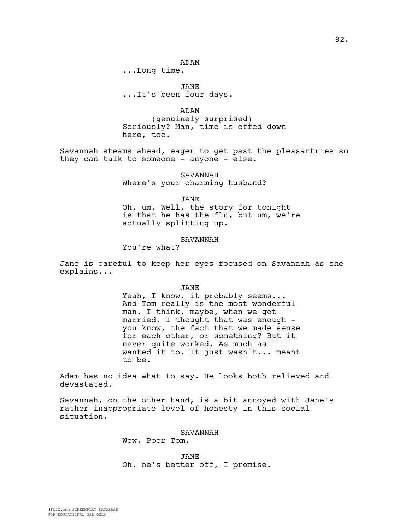...Long time.

JANE ...It's been four days.

ADAM (genuinely surprised) Seriously? Man, time is effed down here, too.

Savannah steams ahead, eager to get past the pleasantries so they can talk to someone - anyone - else.

> SAVANNAH Where's your charming husband?

> > JANE

Oh, um. Well, the story for tonight is that he has the flu, but um, we're actually splitting up.

## SAVANNAH

You're what?

Jane is careful to keep her eyes focused on Savannah as she explains...

JANE

Yeah, I know, it probably seems... And Tom really is the most wonderful man. I think, maybe, when we got married, I thought that was enough you know, the fact that we made sense for each other, or something? But it never quite worked. As much as I wanted it to. It just wasn't... meant to be.

Adam has no idea what to say. He looks both relieved and devastated.

Savannah, on the other hand, is a bit annoyed with Jane's rather inappropriate level of honesty in this social situation.

SAVANNAH

Wow. Poor Tom.

JANE Oh, he's better off, I promise.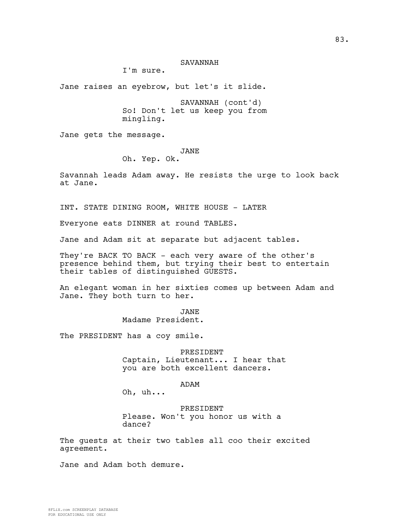## SAVANNAH

I'm sure.

Jane raises an eyebrow, but let's it slide.

SAVANNAH (cont'd) So! Don't let us keep you from mingling.

Jane gets the message.

#### JANE

Oh. Yep. Ok.

Savannah leads Adam away. He resists the urge to look back at Jane.

INT. STATE DINING ROOM, WHITE HOUSE - LATER

Everyone eats DINNER at round TABLES.

Jane and Adam sit at separate but adjacent tables.

They're BACK TO BACK - each very aware of the other's presence behind them, but trying their best to entertain their tables of distinguished GUESTS.

An elegant woman in her sixties comes up between Adam and Jane. They both turn to her.

> JANE Madame President.

The PRESIDENT has a coy smile.

PRESIDENT Captain, Lieutenant... I hear that you are both excellent dancers.

ADAM

Oh, uh...

PRESIDENT Please. Won't you honor us with a dance?

The guests at their two tables all coo their excited agreement.

Jane and Adam both demure.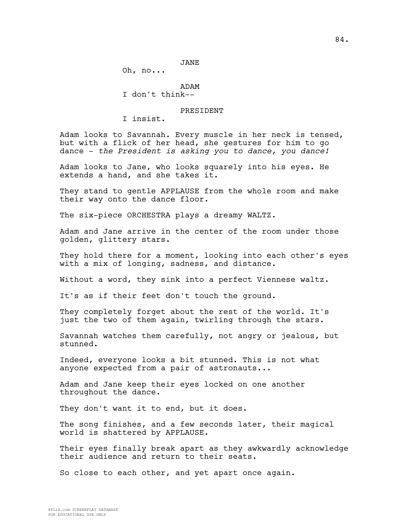JANE

Oh, no...

ADAM I don't think--

PRESIDENT

I insist.

Adam looks to Savannah. Every muscle in her neck is tensed, but with a flick of her head, she gestures for him to go dance - *the President is asking you to dance, you dance!*

Adam looks to Jane, who looks squarely into his eyes. He extends a hand, and she takes it.

They stand to gentle APPLAUSE from the whole room and make their way onto the dance floor.

The six-piece ORCHESTRA plays a dreamy WALTZ.

Adam and Jane arrive in the center of the room under those golden, glittery stars.

They hold there for a moment, looking into each other's eyes with a mix of longing, sadness, and distance.

Without a word, they sink into a perfect Viennese waltz.

It's as if their feet don't touch the ground.

They completely forget about the rest of the world. It's just the two of them again, twirling through the stars.

Savannah watches them carefully, not angry or jealous, but stunned.

Indeed, everyone looks a bit stunned. This is not what anyone expected from a pair of astronauts...

Adam and Jane keep their eyes locked on one another throughout the dance.

They don't want it to end, but it does.

The song finishes, and a few seconds later, their magical world is shattered by APPLAUSE.

Their eyes finally break apart as they awkwardly acknowledge their audience and return to their seats.

So close to each other, and yet apart once again.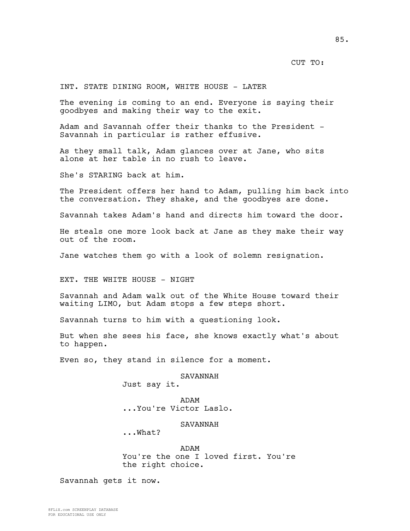CUT TO:

INT. STATE DINING ROOM, WHITE HOUSE - LATER

The evening is coming to an end. Everyone is saying their goodbyes and making their way to the exit.

Adam and Savannah offer their thanks to the President - Savannah in particular is rather effusive.

As they small talk, Adam glances over at Jane, who sits alone at her table in no rush to leave.

She's STARING back at him.

The President offers her hand to Adam, pulling him back into the conversation. They shake, and the goodbyes are done.

Savannah takes Adam's hand and directs him toward the door.

He steals one more look back at Jane as they make their way out of the room.

Jane watches them go with a look of solemn resignation.

EXT. THE WHITE HOUSE - NIGHT

Savannah and Adam walk out of the White House toward their waiting LIMO, but Adam stops a few steps short.

Savannah turns to him with a questioning look.

But when she sees his face, she knows exactly what's about to happen.

Even so, they stand in silence for a moment.

SAVANNAH

Just say it.

ADAM ...You're Victor Laslo.

SAVANNAH

...What?

ADAM You're the one I loved first. You're the right choice.

Savannah gets it now.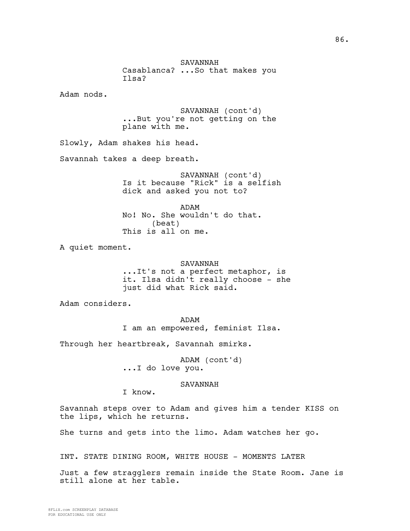SAVANNAH Casablanca? ...So that makes you Ilsa? Adam nods. SAVANNAH (cont'd) ...But you're not getting on the plane with me. Slowly, Adam shakes his head. Savannah takes a deep breath. SAVANNAH (cont'd) Is it because "Rick" is a selfish dick and asked you not to? ADAM No! No. She wouldn't do that. (beat) This is all on me. A quiet moment. SAVANNAH ...It's not a perfect metaphor, is it. Ilsa didn't really choose - she just did what Rick said. Adam considers. ADAM I am an empowered, feminist Ilsa. Through her heartbreak, Savannah smirks. ADAM (cont'd) ...I do love you. SAVANNAH I know. Savannah steps over to Adam and gives him a tender KISS on the lips, which he returns.

She turns and gets into the limo. Adam watches her go.

INT. STATE DINING ROOM, WHITE HOUSE - MOMENTS LATER

Just a few stragglers remain inside the State Room. Jane is still alone at her table.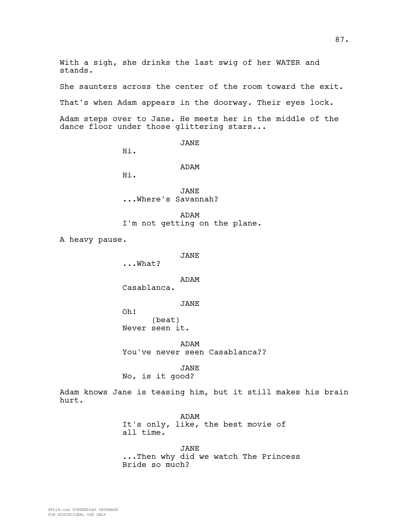With a sigh, she drinks the last swig of her WATER and stands. She saunters across the center of the room toward the exit. That's when Adam appears in the doorway. Their eyes lock. Adam steps over to Jane. He meets her in the middle of the dance floor under those glittering stars... JANE Hi. ADAM Hi. JANE ...Where's Savannah? ADAM I'm not getting on the plane. A heavy pause. JANE ...What? ADAM Casablanca. JANE Oh! (beat) Never seen it. ADAM You've never seen Casablanca?? JANE No, is it good? Adam knows Jane is teasing him, but it still makes his brain hurt. ADAM It's only, like, the best movie of all time. JANE

> ...Then why did we watch The Princess Bride so much?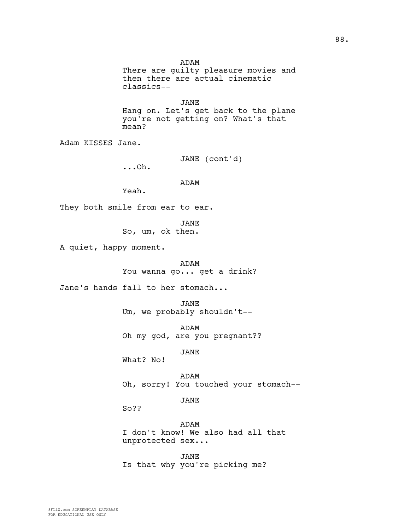ADAM There are guilty pleasure movies and then there are actual cinematic classics-- JANE

Hang on. Let's get back to the plane you're not getting on? What's that mean?

Adam KISSES Jane.

```
JANE (cont'd)
```
...Oh.

## ADAM

Yeah.

They both smile from ear to ear.

JANE

So, um, ok then.

A quiet, happy moment.

ADAM You wanna go... get a drink?

Jane's hands fall to her stomach...

JANE Um, we probably shouldn't--

ADAM Oh my god, are you pregnant??

JANE

What? No!

ADAM Oh, sorry! You touched your stomach--

JANE

So??

ADAM I don't know! We also had all that unprotected sex...

JANE Is that why you're picking me?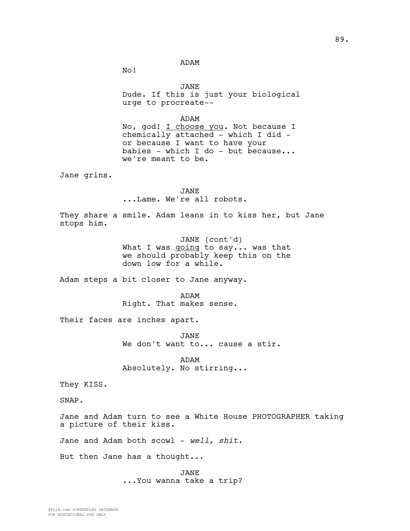No!

JANE Dude. If this is just your biological urge to procreate--

ADAM

No, god! I choose you. Not because I chemically attached - which I did or because I want to have your babies - which I do - but because... we're meant to be.

Jane grins.

JANE ...Lame. We're all robots.

They share a smile. Adam leans in to kiss her, but Jane stops him.

> JANE (cont'd) What I was going to say... was that we should probably keep this on the down low for a while.

Adam steps a bit closer to Jane anyway.

ADAM

Right. That makes sense.

Their faces are inches apart.

JANE We don't want to... cause a stir.

ADAM Absolutely. No stirring...

They KISS.

SNAP.

Jane and Adam turn to see a White House PHOTOGRAPHER taking a picture of their kiss.

Jane and Adam both scowl - *well, shit*.

But then Jane has a thought...

JANE ...You wanna take a trip?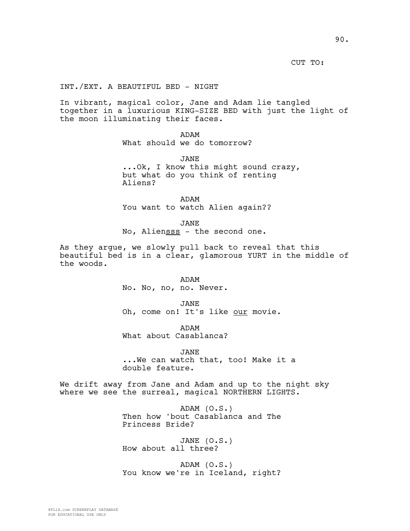90.

CUT TO:

INT./EXT. A BEAUTIFUL BED - NIGHT

In vibrant, magical color, Jane and Adam lie tangled together in a luxurious KING-SIZE BED with just the light of the moon illuminating their faces.

> ADAM What should we do tomorrow?

JANE ...Ok, I know this might sound crazy, but what do you think of renting Aliens?

ADAM You want to watch Alien again??

JANE

No, Aliensss - the second one.

As they argue, we slowly pull back to reveal that this beautiful bed is in a clear, glamorous YURT in the middle of the woods.

> ADAM No. No, no, no. Never.

JANE Oh, come on! It's like our movie.

ADAM

What about Casablanca?

JANE ...We can watch that, too! Make it a double feature.

We drift away from Jane and Adam and up to the night sky where we see the surreal, magical NORTHERN LIGHTS.

> ADAM (O.S.) Then how 'bout Casablanca and The Princess Bride?

JANE (O.S.) How about all three?

ADAM (O.S.) You know we're in Iceland, right?